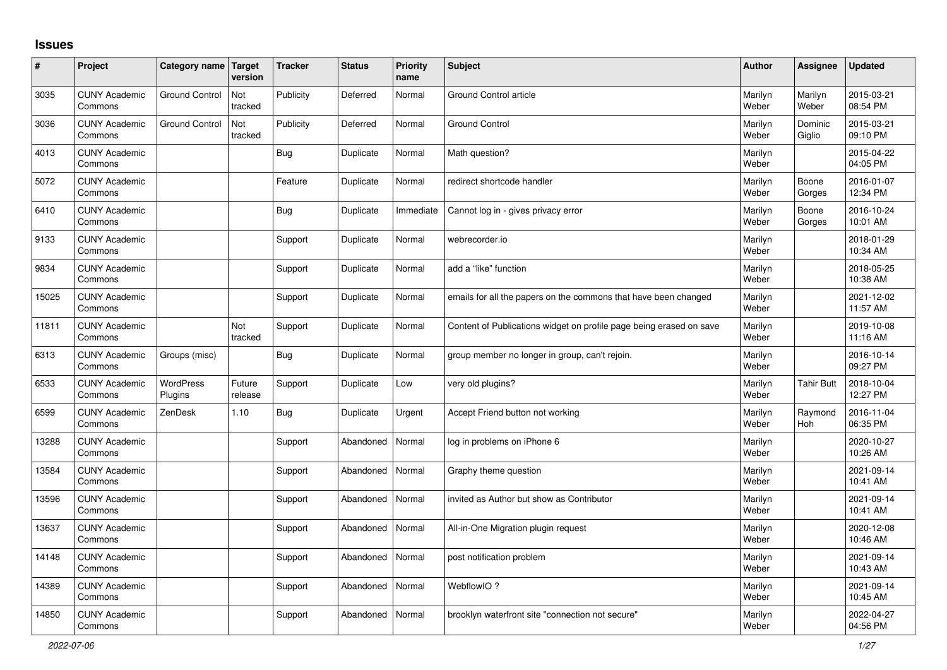## **Issues**

| ∦     | Project                         | Category name Target  | version           | <b>Tracker</b> | <b>Status</b> | <b>Priority</b><br>name | <b>Subject</b>                                                      | <b>Author</b>    | <b>Assignee</b>   | <b>Updated</b>         |
|-------|---------------------------------|-----------------------|-------------------|----------------|---------------|-------------------------|---------------------------------------------------------------------|------------------|-------------------|------------------------|
| 3035  | <b>CUNY Academic</b><br>Commons | <b>Ground Control</b> | Not<br>tracked    | Publicity      | Deferred      | Normal                  | <b>Ground Control article</b>                                       | Marilyn<br>Weber | Marilyn<br>Weber  | 2015-03-21<br>08:54 PM |
| 3036  | <b>CUNY Academic</b><br>Commons | <b>Ground Control</b> | Not<br>tracked    | Publicity      | Deferred      | Normal                  | <b>Ground Control</b>                                               | Marilyn<br>Weber | Dominic<br>Giglio | 2015-03-21<br>09:10 PM |
| 4013  | <b>CUNY Academic</b><br>Commons |                       |                   | <b>Bug</b>     | Duplicate     | Normal                  | Math question?                                                      | Marilyn<br>Weber |                   | 2015-04-22<br>04:05 PM |
| 5072  | <b>CUNY Academic</b><br>Commons |                       |                   | Feature        | Duplicate     | Normal                  | redirect shortcode handler                                          | Marilyn<br>Weber | Boone<br>Gorges   | 2016-01-07<br>12:34 PM |
| 6410  | <b>CUNY Academic</b><br>Commons |                       |                   | <b>Bug</b>     | Duplicate     | Immediate               | Cannot log in - gives privacy error                                 | Marilyn<br>Weber | Boone<br>Gorges   | 2016-10-24<br>10:01 AM |
| 9133  | <b>CUNY Academic</b><br>Commons |                       |                   | Support        | Duplicate     | Normal                  | webrecorder.io                                                      | Marilyn<br>Weber |                   | 2018-01-29<br>10:34 AM |
| 9834  | <b>CUNY Academic</b><br>Commons |                       |                   | Support        | Duplicate     | Normal                  | add a "like" function                                               | Marilyn<br>Weber |                   | 2018-05-25<br>10:38 AM |
| 15025 | <b>CUNY Academic</b><br>Commons |                       |                   | Support        | Duplicate     | Normal                  | emails for all the papers on the commons that have been changed     | Marilyn<br>Weber |                   | 2021-12-02<br>11:57 AM |
| 11811 | <b>CUNY Academic</b><br>Commons |                       | Not<br>tracked    | Support        | Duplicate     | Normal                  | Content of Publications widget on profile page being erased on save | Marilyn<br>Weber |                   | 2019-10-08<br>11:16 AM |
| 6313  | <b>CUNY Academic</b><br>Commons | Groups (misc)         |                   | Bug            | Duplicate     | Normal                  | group member no longer in group, can't rejoin.                      | Marilyn<br>Weber |                   | 2016-10-14<br>09:27 PM |
| 6533  | <b>CUNY Academic</b><br>Commons | WordPress<br>Plugins  | Future<br>release | Support        | Duplicate     | Low                     | very old plugins?                                                   | Marilyn<br>Weber | Tahir Butt        | 2018-10-04<br>12:27 PM |
| 6599  | <b>CUNY Academic</b><br>Commons | ZenDesk               | 1.10              | <b>Bug</b>     | Duplicate     | Urgent                  | Accept Friend button not working                                    | Marilyn<br>Weber | Raymond<br>Hoh    | 2016-11-04<br>06:35 PM |
| 13288 | <b>CUNY Academic</b><br>Commons |                       |                   | Support        | Abandoned     | Normal                  | log in problems on iPhone 6                                         | Marilyn<br>Weber |                   | 2020-10-27<br>10:26 AM |
| 13584 | <b>CUNY Academic</b><br>Commons |                       |                   | Support        | Abandoned     | Normal                  | Graphy theme question                                               | Marilyn<br>Weber |                   | 2021-09-14<br>10:41 AM |
| 13596 | <b>CUNY Academic</b><br>Commons |                       |                   | Support        | Abandoned     | Normal                  | invited as Author but show as Contributor                           | Marilyn<br>Weber |                   | 2021-09-14<br>10:41 AM |
| 13637 | <b>CUNY Academic</b><br>Commons |                       |                   | Support        | Abandoned     | Normal                  | All-in-One Migration plugin request                                 | Marilyn<br>Weber |                   | 2020-12-08<br>10:46 AM |
| 14148 | <b>CUNY Academic</b><br>Commons |                       |                   | Support        | Abandoned     | Normal                  | post notification problem                                           | Marilyn<br>Weber |                   | 2021-09-14<br>10:43 AM |
| 14389 | <b>CUNY Academic</b><br>Commons |                       |                   | Support        | Abandoned     | Normal                  | WebflowIO?                                                          | Marilyn<br>Weber |                   | 2021-09-14<br>10:45 AM |
| 14850 | <b>CUNY Academic</b><br>Commons |                       |                   | Support        | Abandoned     | Normal                  | brooklyn waterfront site "connection not secure"                    | Marilyn<br>Weber |                   | 2022-04-27<br>04:56 PM |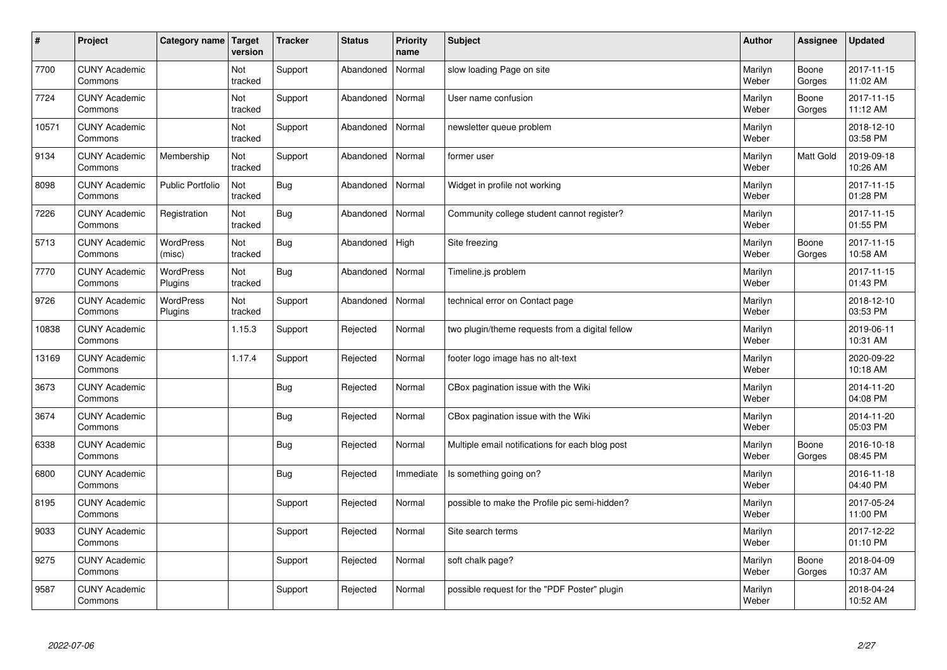| $\sharp$ | Project                         | Category name               | Target<br>version | <b>Tracker</b> | <b>Status</b> | <b>Priority</b><br>name | <b>Subject</b>                                  | <b>Author</b>    | Assignee        | <b>Updated</b>         |
|----------|---------------------------------|-----------------------------|-------------------|----------------|---------------|-------------------------|-------------------------------------------------|------------------|-----------------|------------------------|
| 7700     | <b>CUNY Academic</b><br>Commons |                             | Not<br>tracked    | Support        | Abandoned     | Normal                  | slow loading Page on site                       | Marilyn<br>Weber | Boone<br>Gorges | 2017-11-15<br>11:02 AM |
| 7724     | <b>CUNY Academic</b><br>Commons |                             | Not<br>tracked    | Support        | Abandoned     | Normal                  | User name confusion                             | Marilyn<br>Weber | Boone<br>Gorges | 2017-11-15<br>11:12 AM |
| 10571    | <b>CUNY Academic</b><br>Commons |                             | Not<br>tracked    | Support        | Abandoned     | Normal                  | newsletter queue problem                        | Marilyn<br>Weber |                 | 2018-12-10<br>03:58 PM |
| 9134     | <b>CUNY Academic</b><br>Commons | Membership                  | Not<br>tracked    | Support        | Abandoned     | Normal                  | former user                                     | Marilyn<br>Weber | Matt Gold       | 2019-09-18<br>10:26 AM |
| 8098     | <b>CUNY Academic</b><br>Commons | <b>Public Portfolio</b>     | Not<br>tracked    | Bug            | Abandoned     | Normal                  | Widget in profile not working                   | Marilyn<br>Weber |                 | 2017-11-15<br>01:28 PM |
| 7226     | <b>CUNY Academic</b><br>Commons | Registration                | Not<br>tracked    | Bug            | Abandoned     | Normal                  | Community college student cannot register?      | Marilyn<br>Weber |                 | 2017-11-15<br>01:55 PM |
| 5713     | <b>CUNY Academic</b><br>Commons | WordPress<br>(misc)         | Not<br>tracked    | Bug            | Abandoned     | High                    | Site freezing                                   | Marilyn<br>Weber | Boone<br>Gorges | 2017-11-15<br>10:58 AM |
| 7770     | <b>CUNY Academic</b><br>Commons | WordPress<br>Plugins        | Not<br>tracked    | Bug            | Abandoned     | Normal                  | Timeline.js problem                             | Marilyn<br>Weber |                 | 2017-11-15<br>01:43 PM |
| 9726     | <b>CUNY Academic</b><br>Commons | <b>WordPress</b><br>Plugins | Not<br>tracked    | Support        | Abandoned     | Normal                  | technical error on Contact page                 | Marilyn<br>Weber |                 | 2018-12-10<br>03:53 PM |
| 10838    | <b>CUNY Academic</b><br>Commons |                             | 1.15.3            | Support        | Rejected      | Normal                  | two plugin/theme requests from a digital fellow | Marilyn<br>Weber |                 | 2019-06-11<br>10:31 AM |
| 13169    | <b>CUNY Academic</b><br>Commons |                             | 1.17.4            | Support        | Rejected      | Normal                  | footer logo image has no alt-text               | Marilyn<br>Weber |                 | 2020-09-22<br>10:18 AM |
| 3673     | <b>CUNY Academic</b><br>Commons |                             |                   | <b>Bug</b>     | Rejected      | Normal                  | CBox pagination issue with the Wiki             | Marilyn<br>Weber |                 | 2014-11-20<br>04:08 PM |
| 3674     | <b>CUNY Academic</b><br>Commons |                             |                   | Bug            | Rejected      | Normal                  | CBox pagination issue with the Wiki             | Marilyn<br>Weber |                 | 2014-11-20<br>05:03 PM |
| 6338     | <b>CUNY Academic</b><br>Commons |                             |                   | <b>Bug</b>     | Rejected      | Normal                  | Multiple email notifications for each blog post | Marilyn<br>Weber | Boone<br>Gorges | 2016-10-18<br>08:45 PM |
| 6800     | <b>CUNY Academic</b><br>Commons |                             |                   | <b>Bug</b>     | Rejected      | Immediate               | Is something going on?                          | Marilyn<br>Weber |                 | 2016-11-18<br>04:40 PM |
| 8195     | <b>CUNY Academic</b><br>Commons |                             |                   | Support        | Rejected      | Normal                  | possible to make the Profile pic semi-hidden?   | Marilyn<br>Weber |                 | 2017-05-24<br>11:00 PM |
| 9033     | <b>CUNY Academic</b><br>Commons |                             |                   | Support        | Rejected      | Normal                  | Site search terms                               | Marilyn<br>Weber |                 | 2017-12-22<br>01:10 PM |
| 9275     | <b>CUNY Academic</b><br>Commons |                             |                   | Support        | Rejected      | Normal                  | soft chalk page?                                | Marilyn<br>Weber | Boone<br>Gorges | 2018-04-09<br>10:37 AM |
| 9587     | <b>CUNY Academic</b><br>Commons |                             |                   | Support        | Rejected      | Normal                  | possible request for the "PDF Poster" plugin    | Marilyn<br>Weber |                 | 2018-04-24<br>10:52 AM |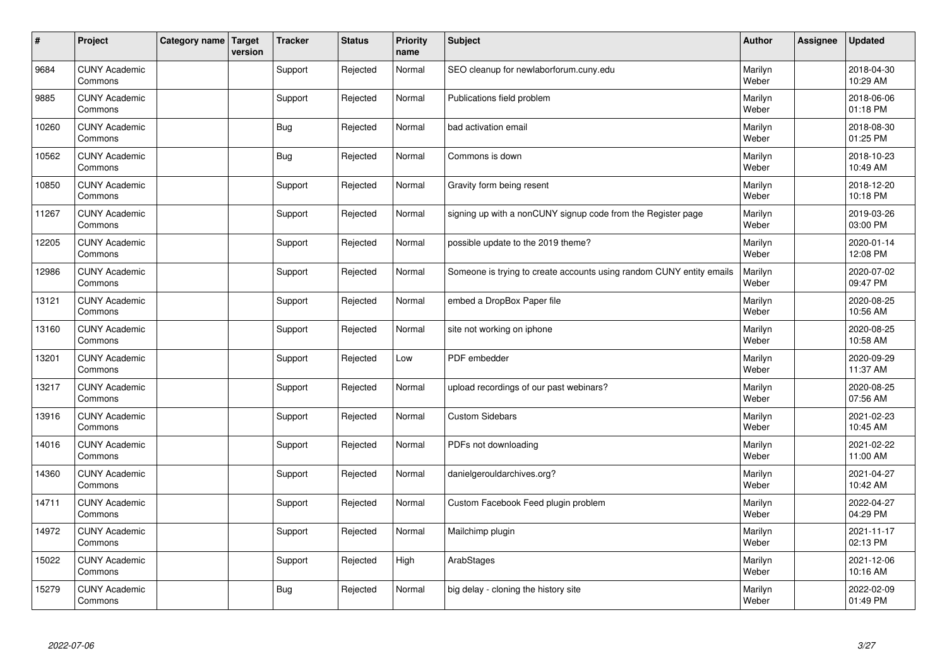| $\vert$ # | Project                         | Category name   Target | version | <b>Tracker</b> | <b>Status</b> | <b>Priority</b><br>name | <b>Subject</b>                                                       | <b>Author</b>    | <b>Assignee</b> | <b>Updated</b>         |
|-----------|---------------------------------|------------------------|---------|----------------|---------------|-------------------------|----------------------------------------------------------------------|------------------|-----------------|------------------------|
| 9684      | <b>CUNY Academic</b><br>Commons |                        |         | Support        | Rejected      | Normal                  | SEO cleanup for newlaborforum.cuny.edu                               | Marilyn<br>Weber |                 | 2018-04-30<br>10:29 AM |
| 9885      | <b>CUNY Academic</b><br>Commons |                        |         | Support        | Rejected      | Normal                  | Publications field problem                                           | Marilyn<br>Weber |                 | 2018-06-06<br>01:18 PM |
| 10260     | <b>CUNY Academic</b><br>Commons |                        |         | <b>Bug</b>     | Rejected      | Normal                  | bad activation email                                                 | Marilyn<br>Weber |                 | 2018-08-30<br>01:25 PM |
| 10562     | <b>CUNY Academic</b><br>Commons |                        |         | Bug            | Rejected      | Normal                  | Commons is down                                                      | Marilyn<br>Weber |                 | 2018-10-23<br>10:49 AM |
| 10850     | <b>CUNY Academic</b><br>Commons |                        |         | Support        | Rejected      | Normal                  | Gravity form being resent                                            | Marilyn<br>Weber |                 | 2018-12-20<br>10:18 PM |
| 11267     | <b>CUNY Academic</b><br>Commons |                        |         | Support        | Rejected      | Normal                  | signing up with a nonCUNY signup code from the Register page         | Marilyn<br>Weber |                 | 2019-03-26<br>03:00 PM |
| 12205     | <b>CUNY Academic</b><br>Commons |                        |         | Support        | Rejected      | Normal                  | possible update to the 2019 theme?                                   | Marilyn<br>Weber |                 | 2020-01-14<br>12:08 PM |
| 12986     | <b>CUNY Academic</b><br>Commons |                        |         | Support        | Rejected      | Normal                  | Someone is trying to create accounts using random CUNY entity emails | Marilyn<br>Weber |                 | 2020-07-02<br>09:47 PM |
| 13121     | <b>CUNY Academic</b><br>Commons |                        |         | Support        | Rejected      | Normal                  | embed a DropBox Paper file                                           | Marilyn<br>Weber |                 | 2020-08-25<br>10:56 AM |
| 13160     | <b>CUNY Academic</b><br>Commons |                        |         | Support        | Rejected      | Normal                  | site not working on iphone                                           | Marilyn<br>Weber |                 | 2020-08-25<br>10:58 AM |
| 13201     | <b>CUNY Academic</b><br>Commons |                        |         | Support        | Rejected      | Low                     | PDF embedder                                                         | Marilyn<br>Weber |                 | 2020-09-29<br>11:37 AM |
| 13217     | <b>CUNY Academic</b><br>Commons |                        |         | Support        | Rejected      | Normal                  | upload recordings of our past webinars?                              | Marilyn<br>Weber |                 | 2020-08-25<br>07:56 AM |
| 13916     | <b>CUNY Academic</b><br>Commons |                        |         | Support        | Rejected      | Normal                  | <b>Custom Sidebars</b>                                               | Marilyn<br>Weber |                 | 2021-02-23<br>10:45 AM |
| 14016     | <b>CUNY Academic</b><br>Commons |                        |         | Support        | Rejected      | Normal                  | PDFs not downloading                                                 | Marilyn<br>Weber |                 | 2021-02-22<br>11:00 AM |
| 14360     | <b>CUNY Academic</b><br>Commons |                        |         | Support        | Rejected      | Normal                  | danielgerouldarchives.org?                                           | Marilyn<br>Weber |                 | 2021-04-27<br>10:42 AM |
| 14711     | <b>CUNY Academic</b><br>Commons |                        |         | Support        | Rejected      | Normal                  | Custom Facebook Feed plugin problem                                  | Marilyn<br>Weber |                 | 2022-04-27<br>04:29 PM |
| 14972     | <b>CUNY Academic</b><br>Commons |                        |         | Support        | Rejected      | Normal                  | Mailchimp plugin                                                     | Marilyn<br>Weber |                 | 2021-11-17<br>02:13 PM |
| 15022     | <b>CUNY Academic</b><br>Commons |                        |         | Support        | Rejected      | High                    | ArabStages                                                           | Marilyn<br>Weber |                 | 2021-12-06<br>10:16 AM |
| 15279     | <b>CUNY Academic</b><br>Commons |                        |         | <b>Bug</b>     | Rejected      | Normal                  | big delay - cloning the history site                                 | Marilyn<br>Weber |                 | 2022-02-09<br>01:49 PM |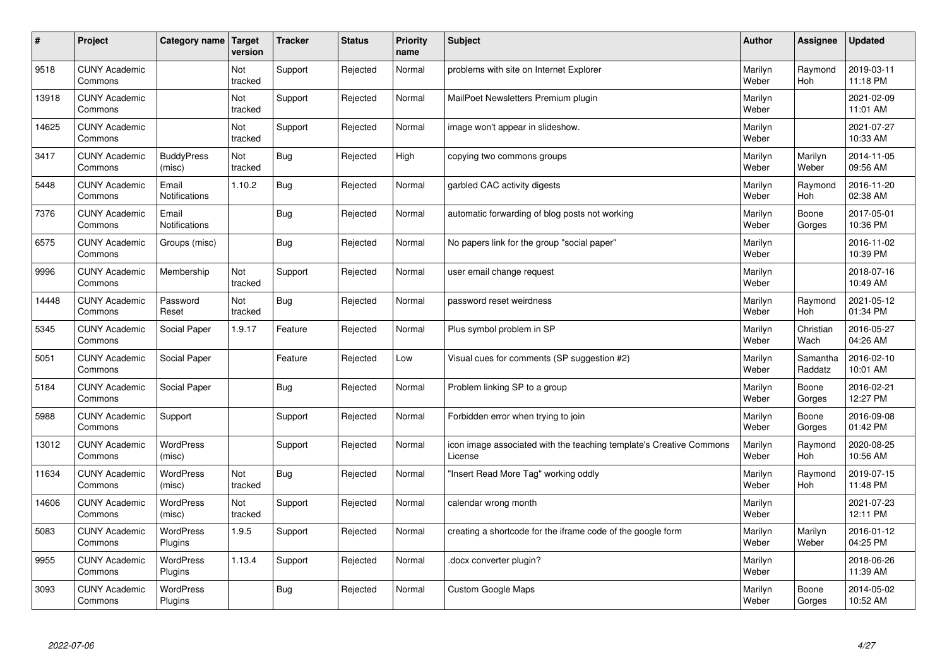| $\sharp$ | Project                         | Category name                 | Target<br>version | <b>Tracker</b> | <b>Status</b> | <b>Priority</b><br>name | <b>Subject</b>                                                                 | <b>Author</b>    | Assignee              | <b>Updated</b>         |
|----------|---------------------------------|-------------------------------|-------------------|----------------|---------------|-------------------------|--------------------------------------------------------------------------------|------------------|-----------------------|------------------------|
| 9518     | <b>CUNY Academic</b><br>Commons |                               | Not<br>tracked    | Support        | Rejected      | Normal                  | problems with site on Internet Explorer                                        | Marilyn<br>Weber | Raymond<br><b>Hoh</b> | 2019-03-11<br>11:18 PM |
| 13918    | <b>CUNY Academic</b><br>Commons |                               | Not<br>tracked    | Support        | Rejected      | Normal                  | MailPoet Newsletters Premium plugin                                            | Marilyn<br>Weber |                       | 2021-02-09<br>11:01 AM |
| 14625    | <b>CUNY Academic</b><br>Commons |                               | Not<br>tracked    | Support        | Rejected      | Normal                  | image won't appear in slideshow.                                               | Marilyn<br>Weber |                       | 2021-07-27<br>10:33 AM |
| 3417     | <b>CUNY Academic</b><br>Commons | <b>BuddyPress</b><br>(misc)   | Not<br>tracked    | Bug            | Rejected      | High                    | copying two commons groups                                                     | Marilyn<br>Weber | Marilyn<br>Weber      | 2014-11-05<br>09:56 AM |
| 5448     | <b>CUNY Academic</b><br>Commons | Email<br>Notifications        | 1.10.2            | <b>Bug</b>     | Rejected      | Normal                  | garbled CAC activity digests                                                   | Marilyn<br>Weber | Raymond<br>Hoh        | 2016-11-20<br>02:38 AM |
| 7376     | <b>CUNY Academic</b><br>Commons | Email<br><b>Notifications</b> |                   | Bug            | Rejected      | Normal                  | automatic forwarding of blog posts not working                                 | Marilyn<br>Weber | Boone<br>Gorges       | 2017-05-01<br>10:36 PM |
| 6575     | <b>CUNY Academic</b><br>Commons | Groups (misc)                 |                   | <b>Bug</b>     | Rejected      | Normal                  | No papers link for the group "social paper"                                    | Marilyn<br>Weber |                       | 2016-11-02<br>10:39 PM |
| 9996     | <b>CUNY Academic</b><br>Commons | Membership                    | Not<br>tracked    | Support        | Rejected      | Normal                  | user email change request                                                      | Marilyn<br>Weber |                       | 2018-07-16<br>10:49 AM |
| 14448    | <b>CUNY Academic</b><br>Commons | Password<br>Reset             | Not<br>tracked    | Bug            | Rejected      | Normal                  | password reset weirdness                                                       | Marilyn<br>Weber | Raymond<br>Hoh        | 2021-05-12<br>01:34 PM |
| 5345     | <b>CUNY Academic</b><br>Commons | Social Paper                  | 1.9.17            | Feature        | Rejected      | Normal                  | Plus symbol problem in SP                                                      | Marilyn<br>Weber | Christian<br>Wach     | 2016-05-27<br>04:26 AM |
| 5051     | <b>CUNY Academic</b><br>Commons | Social Paper                  |                   | Feature        | Rejected      | Low                     | Visual cues for comments (SP suggestion #2)                                    | Marilyn<br>Weber | Samantha<br>Raddatz   | 2016-02-10<br>10:01 AM |
| 5184     | <b>CUNY Academic</b><br>Commons | Social Paper                  |                   | <b>Bug</b>     | Rejected      | Normal                  | Problem linking SP to a group                                                  | Marilyn<br>Weber | Boone<br>Gorges       | 2016-02-21<br>12:27 PM |
| 5988     | <b>CUNY Academic</b><br>Commons | Support                       |                   | Support        | Rejected      | Normal                  | Forbidden error when trying to join                                            | Marilyn<br>Weber | Boone<br>Gorges       | 2016-09-08<br>01:42 PM |
| 13012    | <b>CUNY Academic</b><br>Commons | WordPress<br>(misc)           |                   | Support        | Rejected      | Normal                  | icon image associated with the teaching template's Creative Commons<br>License | Marilyn<br>Weber | Raymond<br>Hoh        | 2020-08-25<br>10:56 AM |
| 11634    | <b>CUNY Academic</b><br>Commons | WordPress<br>(misc)           | Not<br>tracked    | <b>Bug</b>     | Rejected      | Normal                  | 'Insert Read More Tag" working oddly                                           | Marilyn<br>Weber | Raymond<br>Hoh        | 2019-07-15<br>11:48 PM |
| 14606    | <b>CUNY Academic</b><br>Commons | WordPress<br>(misc)           | Not<br>tracked    | Support        | Rejected      | Normal                  | calendar wrong month                                                           | Marilyn<br>Weber |                       | 2021-07-23<br>12:11 PM |
| 5083     | <b>CUNY Academic</b><br>Commons | WordPress<br>Plugins          | 1.9.5             | Support        | Rejected      | Normal                  | creating a shortcode for the iframe code of the google form                    | Marilyn<br>Weber | Marilyn<br>Weber      | 2016-01-12<br>04:25 PM |
| 9955     | <b>CUNY Academic</b><br>Commons | WordPress<br>Plugins          | 1.13.4            | Support        | Rejected      | Normal                  | docx converter plugin?                                                         | Marilyn<br>Weber |                       | 2018-06-26<br>11:39 AM |
| 3093     | <b>CUNY Academic</b><br>Commons | <b>WordPress</b><br>Plugins   |                   | <b>Bug</b>     | Rejected      | Normal                  | <b>Custom Google Maps</b>                                                      | Marilyn<br>Weber | Boone<br>Gorges       | 2014-05-02<br>10:52 AM |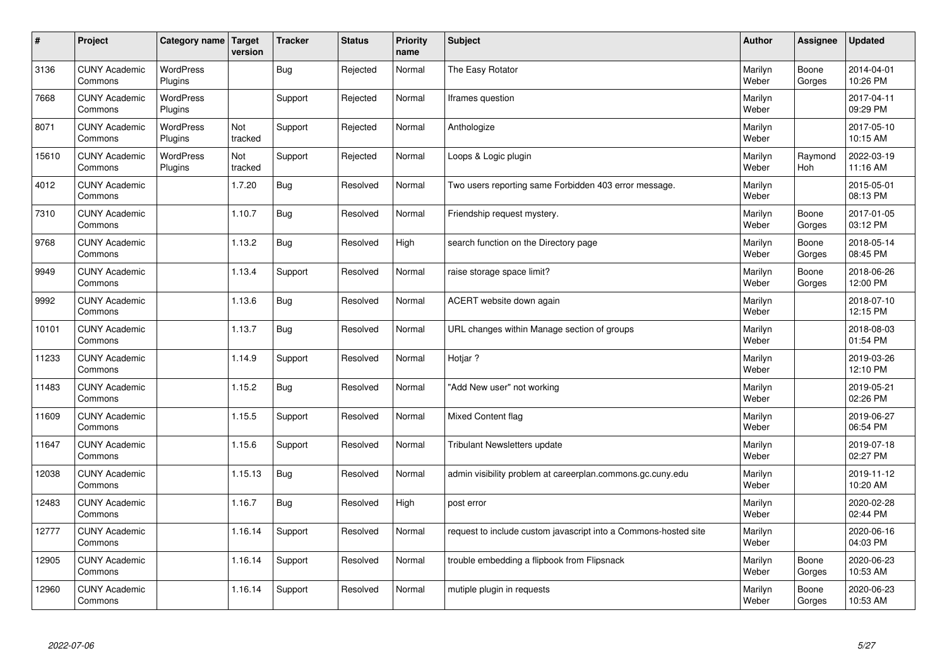| $\vert$ # | Project                         | Category name   Target      | version        | <b>Tracker</b> | <b>Status</b> | Priority<br>name | <b>Subject</b>                                                  | <b>Author</b>    | Assignee              | <b>Updated</b>         |
|-----------|---------------------------------|-----------------------------|----------------|----------------|---------------|------------------|-----------------------------------------------------------------|------------------|-----------------------|------------------------|
| 3136      | <b>CUNY Academic</b><br>Commons | <b>WordPress</b><br>Plugins |                | <b>Bug</b>     | Rejected      | Normal           | The Easy Rotator                                                | Marilyn<br>Weber | Boone<br>Gorges       | 2014-04-01<br>10:26 PM |
| 7668      | <b>CUNY Academic</b><br>Commons | <b>WordPress</b><br>Plugins |                | Support        | Rejected      | Normal           | Iframes question                                                | Marilyn<br>Weber |                       | 2017-04-11<br>09:29 PM |
| 8071      | <b>CUNY Academic</b><br>Commons | <b>WordPress</b><br>Plugins | Not<br>tracked | Support        | Rejected      | Normal           | Anthologize                                                     | Marilyn<br>Weber |                       | 2017-05-10<br>10:15 AM |
| 15610     | <b>CUNY Academic</b><br>Commons | <b>WordPress</b><br>Plugins | Not<br>tracked | Support        | Rejected      | Normal           | Loops & Logic plugin                                            | Marilyn<br>Weber | Raymond<br><b>Hoh</b> | 2022-03-19<br>11:16 AM |
| 4012      | <b>CUNY Academic</b><br>Commons |                             | 1.7.20         | Bug            | Resolved      | Normal           | Two users reporting same Forbidden 403 error message.           | Marilyn<br>Weber |                       | 2015-05-01<br>08:13 PM |
| 7310      | <b>CUNY Academic</b><br>Commons |                             | 1.10.7         | <b>Bug</b>     | Resolved      | Normal           | Friendship request mystery.                                     | Marilyn<br>Weber | Boone<br>Gorges       | 2017-01-05<br>03:12 PM |
| 9768      | <b>CUNY Academic</b><br>Commons |                             | 1.13.2         | Bug            | Resolved      | High             | search function on the Directory page                           | Marilyn<br>Weber | Boone<br>Gorges       | 2018-05-14<br>08:45 PM |
| 9949      | <b>CUNY Academic</b><br>Commons |                             | 1.13.4         | Support        | Resolved      | Normal           | raise storage space limit?                                      | Marilyn<br>Weber | Boone<br>Gorges       | 2018-06-26<br>12:00 PM |
| 9992      | <b>CUNY Academic</b><br>Commons |                             | 1.13.6         | <b>Bug</b>     | Resolved      | Normal           | ACERT website down again                                        | Marilyn<br>Weber |                       | 2018-07-10<br>12:15 PM |
| 10101     | <b>CUNY Academic</b><br>Commons |                             | 1.13.7         | <b>Bug</b>     | Resolved      | Normal           | URL changes within Manage section of groups                     | Marilyn<br>Weber |                       | 2018-08-03<br>01:54 PM |
| 11233     | <b>CUNY Academic</b><br>Commons |                             | 1.14.9         | Support        | Resolved      | Normal           | Hotjar?                                                         | Marilyn<br>Weber |                       | 2019-03-26<br>12:10 PM |
| 11483     | <b>CUNY Academic</b><br>Commons |                             | 1.15.2         | <b>Bug</b>     | Resolved      | Normal           | 'Add New user" not working                                      | Marilyn<br>Weber |                       | 2019-05-21<br>02:26 PM |
| 11609     | <b>CUNY Academic</b><br>Commons |                             | 1.15.5         | Support        | Resolved      | Normal           | <b>Mixed Content flag</b>                                       | Marilyn<br>Weber |                       | 2019-06-27<br>06:54 PM |
| 11647     | <b>CUNY Academic</b><br>Commons |                             | 1.15.6         | Support        | Resolved      | Normal           | Tribulant Newsletters update                                    | Marilyn<br>Weber |                       | 2019-07-18<br>02:27 PM |
| 12038     | <b>CUNY Academic</b><br>Commons |                             | 1.15.13        | Bug            | Resolved      | Normal           | admin visibility problem at careerplan.commons.gc.cuny.edu      | Marilyn<br>Weber |                       | 2019-11-12<br>10:20 AM |
| 12483     | <b>CUNY Academic</b><br>Commons |                             | 1.16.7         | <b>Bug</b>     | Resolved      | High             | post error                                                      | Marilyn<br>Weber |                       | 2020-02-28<br>02:44 PM |
| 12777     | <b>CUNY Academic</b><br>Commons |                             | 1.16.14        | Support        | Resolved      | Normal           | request to include custom javascript into a Commons-hosted site | Marilyn<br>Weber |                       | 2020-06-16<br>04:03 PM |
| 12905     | <b>CUNY Academic</b><br>Commons |                             | 1.16.14        | Support        | Resolved      | Normal           | trouble embedding a flipbook from Flipsnack                     | Marilyn<br>Weber | Boone<br>Gorges       | 2020-06-23<br>10:53 AM |
| 12960     | <b>CUNY Academic</b><br>Commons |                             | 1.16.14        | Support        | Resolved      | Normal           | mutiple plugin in requests                                      | Marilyn<br>Weber | Boone<br>Gorges       | 2020-06-23<br>10:53 AM |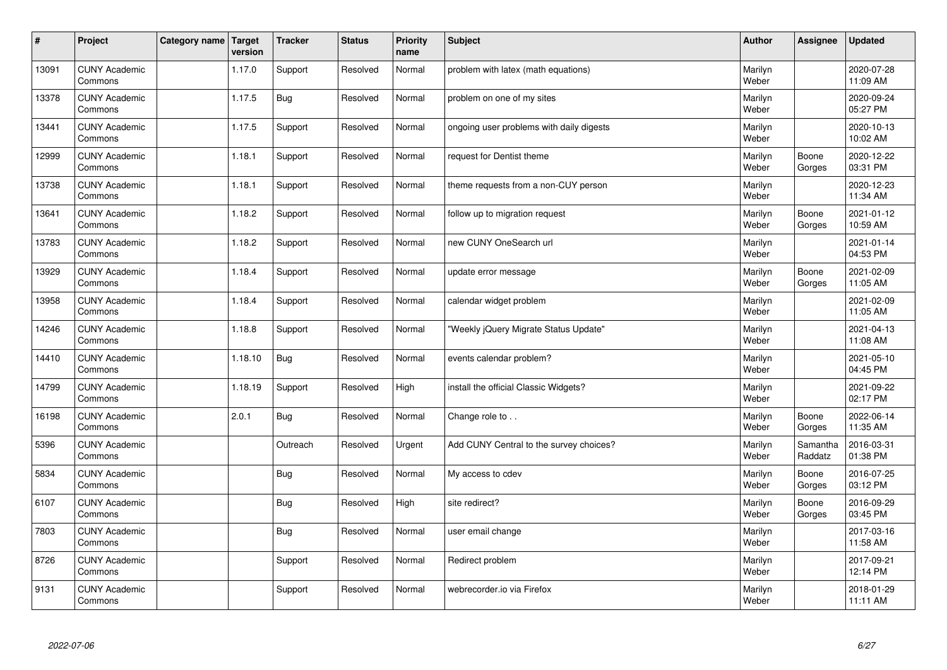| $\vert$ # | Project                         | Category name   Target | version | <b>Tracker</b> | <b>Status</b> | <b>Priority</b><br>name | <b>Subject</b>                           | <b>Author</b>    | <b>Assignee</b>     | <b>Updated</b>         |
|-----------|---------------------------------|------------------------|---------|----------------|---------------|-------------------------|------------------------------------------|------------------|---------------------|------------------------|
| 13091     | <b>CUNY Academic</b><br>Commons |                        | 1.17.0  | Support        | Resolved      | Normal                  | problem with latex (math equations)      | Marilyn<br>Weber |                     | 2020-07-28<br>11:09 AM |
| 13378     | <b>CUNY Academic</b><br>Commons |                        | 1.17.5  | <b>Bug</b>     | Resolved      | Normal                  | problem on one of my sites               | Marilyn<br>Weber |                     | 2020-09-24<br>05:27 PM |
| 13441     | <b>CUNY Academic</b><br>Commons |                        | 1.17.5  | Support        | Resolved      | Normal                  | ongoing user problems with daily digests | Marilyn<br>Weber |                     | 2020-10-13<br>10:02 AM |
| 12999     | <b>CUNY Academic</b><br>Commons |                        | 1.18.1  | Support        | Resolved      | Normal                  | request for Dentist theme                | Marilyn<br>Weber | Boone<br>Gorges     | 2020-12-22<br>03:31 PM |
| 13738     | <b>CUNY Academic</b><br>Commons |                        | 1.18.1  | Support        | Resolved      | Normal                  | theme requests from a non-CUY person     | Marilyn<br>Weber |                     | 2020-12-23<br>11:34 AM |
| 13641     | <b>CUNY Academic</b><br>Commons |                        | 1.18.2  | Support        | Resolved      | Normal                  | follow up to migration request           | Marilyn<br>Weber | Boone<br>Gorges     | 2021-01-12<br>10:59 AM |
| 13783     | <b>CUNY Academic</b><br>Commons |                        | 1.18.2  | Support        | Resolved      | Normal                  | new CUNY OneSearch url                   | Marilyn<br>Weber |                     | 2021-01-14<br>04:53 PM |
| 13929     | <b>CUNY Academic</b><br>Commons |                        | 1.18.4  | Support        | Resolved      | Normal                  | update error message                     | Marilyn<br>Weber | Boone<br>Gorges     | 2021-02-09<br>11:05 AM |
| 13958     | <b>CUNY Academic</b><br>Commons |                        | 1.18.4  | Support        | Resolved      | Normal                  | calendar widget problem                  | Marilyn<br>Weber |                     | 2021-02-09<br>11:05 AM |
| 14246     | <b>CUNY Academic</b><br>Commons |                        | 1.18.8  | Support        | Resolved      | Normal                  | 'Weekly jQuery Migrate Status Update"    | Marilyn<br>Weber |                     | 2021-04-13<br>11:08 AM |
| 14410     | <b>CUNY Academic</b><br>Commons |                        | 1.18.10 | <b>Bug</b>     | Resolved      | Normal                  | events calendar problem?                 | Marilyn<br>Weber |                     | 2021-05-10<br>04:45 PM |
| 14799     | <b>CUNY Academic</b><br>Commons |                        | 1.18.19 | Support        | Resolved      | High                    | install the official Classic Widgets?    | Marilyn<br>Weber |                     | 2021-09-22<br>02:17 PM |
| 16198     | <b>CUNY Academic</b><br>Commons |                        | 2.0.1   | <b>Bug</b>     | Resolved      | Normal                  | Change role to                           | Marilyn<br>Weber | Boone<br>Gorges     | 2022-06-14<br>11:35 AM |
| 5396      | <b>CUNY Academic</b><br>Commons |                        |         | Outreach       | Resolved      | Urgent                  | Add CUNY Central to the survey choices?  | Marilyn<br>Weber | Samantha<br>Raddatz | 2016-03-31<br>01:38 PM |
| 5834      | <b>CUNY Academic</b><br>Commons |                        |         | <b>Bug</b>     | Resolved      | Normal                  | My access to cdev                        | Marilyn<br>Weber | Boone<br>Gorges     | 2016-07-25<br>03:12 PM |
| 6107      | <b>CUNY Academic</b><br>Commons |                        |         | Bug            | Resolved      | High                    | site redirect?                           | Marilyn<br>Weber | Boone<br>Gorges     | 2016-09-29<br>03:45 PM |
| 7803      | <b>CUNY Academic</b><br>Commons |                        |         | <b>Bug</b>     | Resolved      | Normal                  | user email change                        | Marilyn<br>Weber |                     | 2017-03-16<br>11:58 AM |
| 8726      | <b>CUNY Academic</b><br>Commons |                        |         | Support        | Resolved      | Normal                  | Redirect problem                         | Marilyn<br>Weber |                     | 2017-09-21<br>12:14 PM |
| 9131      | <b>CUNY Academic</b><br>Commons |                        |         | Support        | Resolved      | Normal                  | webrecorder.io via Firefox               | Marilyn<br>Weber |                     | 2018-01-29<br>11:11 AM |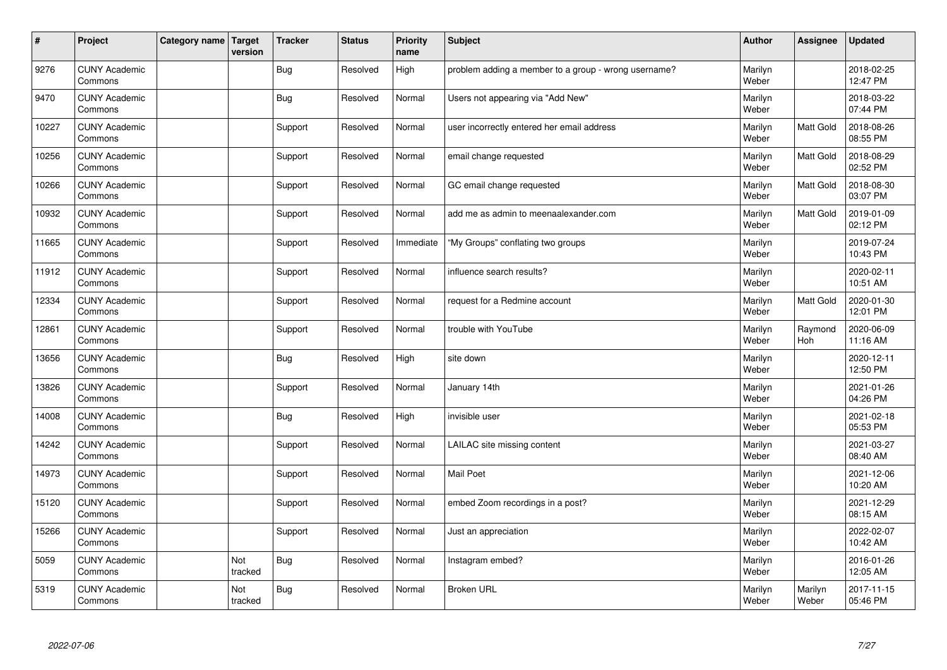| $\pmb{\#}$ | Project                         | Category name   Target | version        | <b>Tracker</b> | <b>Status</b> | <b>Priority</b><br>name | <b>Subject</b>                                       | <b>Author</b>    | Assignee              | <b>Updated</b>         |
|------------|---------------------------------|------------------------|----------------|----------------|---------------|-------------------------|------------------------------------------------------|------------------|-----------------------|------------------------|
| 9276       | <b>CUNY Academic</b><br>Commons |                        |                | Bug            | Resolved      | High                    | problem adding a member to a group - wrong username? | Marilyn<br>Weber |                       | 2018-02-25<br>12:47 PM |
| 9470       | <b>CUNY Academic</b><br>Commons |                        |                | <b>Bug</b>     | Resolved      | Normal                  | Users not appearing via "Add New"                    | Marilyn<br>Weber |                       | 2018-03-22<br>07:44 PM |
| 10227      | <b>CUNY Academic</b><br>Commons |                        |                | Support        | Resolved      | Normal                  | user incorrectly entered her email address           | Marilyn<br>Weber | Matt Gold             | 2018-08-26<br>08:55 PM |
| 10256      | <b>CUNY Academic</b><br>Commons |                        |                | Support        | Resolved      | Normal                  | email change requested                               | Marilyn<br>Weber | Matt Gold             | 2018-08-29<br>02:52 PM |
| 10266      | <b>CUNY Academic</b><br>Commons |                        |                | Support        | Resolved      | Normal                  | GC email change requested                            | Marilyn<br>Weber | Matt Gold             | 2018-08-30<br>03:07 PM |
| 10932      | <b>CUNY Academic</b><br>Commons |                        |                | Support        | Resolved      | Normal                  | add me as admin to meenaalexander.com                | Marilyn<br>Weber | Matt Gold             | 2019-01-09<br>02:12 PM |
| 11665      | <b>CUNY Academic</b><br>Commons |                        |                | Support        | Resolved      | Immediate               | "My Groups" conflating two groups                    | Marilyn<br>Weber |                       | 2019-07-24<br>10:43 PM |
| 11912      | <b>CUNY Academic</b><br>Commons |                        |                | Support        | Resolved      | Normal                  | influence search results?                            | Marilyn<br>Weber |                       | 2020-02-11<br>10:51 AM |
| 12334      | <b>CUNY Academic</b><br>Commons |                        |                | Support        | Resolved      | Normal                  | request for a Redmine account                        | Marilyn<br>Weber | <b>Matt Gold</b>      | 2020-01-30<br>12:01 PM |
| 12861      | <b>CUNY Academic</b><br>Commons |                        |                | Support        | Resolved      | Normal                  | trouble with YouTube                                 | Marilyn<br>Weber | Raymond<br><b>Hoh</b> | 2020-06-09<br>11:16 AM |
| 13656      | <b>CUNY Academic</b><br>Commons |                        |                | Bug            | Resolved      | High                    | site down                                            | Marilyn<br>Weber |                       | 2020-12-11<br>12:50 PM |
| 13826      | <b>CUNY Academic</b><br>Commons |                        |                | Support        | Resolved      | Normal                  | January 14th                                         | Marilyn<br>Weber |                       | 2021-01-26<br>04:26 PM |
| 14008      | <b>CUNY Academic</b><br>Commons |                        |                | <b>Bug</b>     | Resolved      | High                    | invisible user                                       | Marilyn<br>Weber |                       | 2021-02-18<br>05:53 PM |
| 14242      | <b>CUNY Academic</b><br>Commons |                        |                | Support        | Resolved      | Normal                  | LAILAC site missing content                          | Marilyn<br>Weber |                       | 2021-03-27<br>08:40 AM |
| 14973      | <b>CUNY Academic</b><br>Commons |                        |                | Support        | Resolved      | Normal                  | Mail Poet                                            | Marilyn<br>Weber |                       | 2021-12-06<br>10:20 AM |
| 15120      | <b>CUNY Academic</b><br>Commons |                        |                | Support        | Resolved      | Normal                  | embed Zoom recordings in a post?                     | Marilyn<br>Weber |                       | 2021-12-29<br>08:15 AM |
| 15266      | <b>CUNY Academic</b><br>Commons |                        |                | Support        | Resolved      | Normal                  | Just an appreciation                                 | Marilyn<br>Weber |                       | 2022-02-07<br>10:42 AM |
| 5059       | <b>CUNY Academic</b><br>Commons |                        | Not<br>tracked | Bug            | Resolved      | Normal                  | Instagram embed?                                     | Marilyn<br>Weber |                       | 2016-01-26<br>12:05 AM |
| 5319       | <b>CUNY Academic</b><br>Commons |                        | Not<br>tracked | Bug            | Resolved      | Normal                  | <b>Broken URL</b>                                    | Marilyn<br>Weber | Marilyn<br>Weber      | 2017-11-15<br>05:46 PM |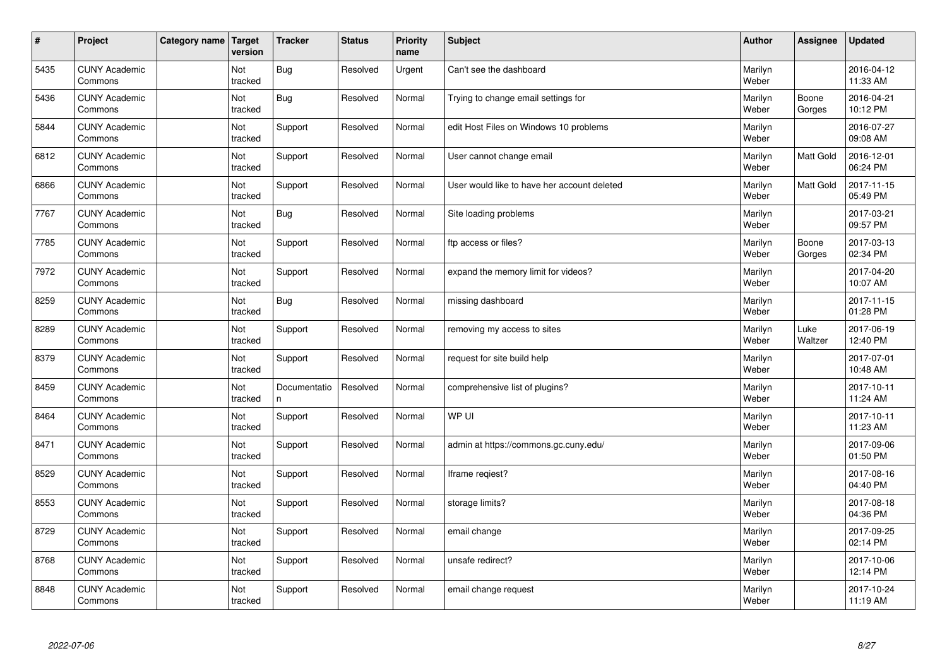| $\sharp$ | Project                         | Category name | Target<br>version | <b>Tracker</b>     | <b>Status</b> | <b>Priority</b><br>name | <b>Subject</b>                              | <b>Author</b>    | Assignee         | Updated                |
|----------|---------------------------------|---------------|-------------------|--------------------|---------------|-------------------------|---------------------------------------------|------------------|------------------|------------------------|
| 5435     | <b>CUNY Academic</b><br>Commons |               | Not<br>tracked    | Bug                | Resolved      | Urgent                  | Can't see the dashboard                     | Marilyn<br>Weber |                  | 2016-04-12<br>11:33 AM |
| 5436     | <b>CUNY Academic</b><br>Commons |               | Not<br>tracked    | Bug                | Resolved      | Normal                  | Trying to change email settings for         | Marilyn<br>Weber | Boone<br>Gorges  | 2016-04-21<br>10:12 PM |
| 5844     | <b>CUNY Academic</b><br>Commons |               | Not<br>tracked    | Support            | Resolved      | Normal                  | edit Host Files on Windows 10 problems      | Marilyn<br>Weber |                  | 2016-07-27<br>09:08 AM |
| 6812     | <b>CUNY Academic</b><br>Commons |               | Not<br>tracked    | Support            | Resolved      | Normal                  | User cannot change email                    | Marilyn<br>Weber | Matt Gold        | 2016-12-01<br>06:24 PM |
| 6866     | <b>CUNY Academic</b><br>Commons |               | Not<br>tracked    | Support            | Resolved      | Normal                  | User would like to have her account deleted | Marilyn<br>Weber | <b>Matt Gold</b> | 2017-11-15<br>05:49 PM |
| 7767     | <b>CUNY Academic</b><br>Commons |               | Not<br>tracked    | Bug                | Resolved      | Normal                  | Site loading problems                       | Marilyn<br>Weber |                  | 2017-03-21<br>09:57 PM |
| 7785     | <b>CUNY Academic</b><br>Commons |               | Not<br>tracked    | Support            | Resolved      | Normal                  | ftp access or files?                        | Marilyn<br>Weber | Boone<br>Gorges  | 2017-03-13<br>02:34 PM |
| 7972     | <b>CUNY Academic</b><br>Commons |               | Not<br>tracked    | Support            | Resolved      | Normal                  | expand the memory limit for videos?         | Marilyn<br>Weber |                  | 2017-04-20<br>10:07 AM |
| 8259     | <b>CUNY Academic</b><br>Commons |               | Not<br>tracked    | Bug                | Resolved      | Normal                  | missing dashboard                           | Marilyn<br>Weber |                  | 2017-11-15<br>01:28 PM |
| 8289     | <b>CUNY Academic</b><br>Commons |               | Not<br>tracked    | Support            | Resolved      | Normal                  | removing my access to sites                 | Marilyn<br>Weber | Luke<br>Waltzer  | 2017-06-19<br>12:40 PM |
| 8379     | <b>CUNY Academic</b><br>Commons |               | Not<br>tracked    | Support            | Resolved      | Normal                  | request for site build help                 | Marilyn<br>Weber |                  | 2017-07-01<br>10:48 AM |
| 8459     | <b>CUNY Academic</b><br>Commons |               | Not<br>tracked    | Documentatio<br>n. | Resolved      | Normal                  | comprehensive list of plugins?              | Marilyn<br>Weber |                  | 2017-10-11<br>11:24 AM |
| 8464     | <b>CUNY Academic</b><br>Commons |               | Not<br>tracked    | Support            | Resolved      | Normal                  | WP UI                                       | Marilyn<br>Weber |                  | 2017-10-11<br>11:23 AM |
| 8471     | <b>CUNY Academic</b><br>Commons |               | Not<br>tracked    | Support            | Resolved      | Normal                  | admin at https://commons.gc.cuny.edu/       | Marilyn<br>Weber |                  | 2017-09-06<br>01:50 PM |
| 8529     | <b>CUNY Academic</b><br>Commons |               | Not<br>tracked    | Support            | Resolved      | Normal                  | Iframe regiest?                             | Marilyn<br>Weber |                  | 2017-08-16<br>04:40 PM |
| 8553     | <b>CUNY Academic</b><br>Commons |               | Not<br>tracked    | Support            | Resolved      | Normal                  | storage limits?                             | Marilyn<br>Weber |                  | 2017-08-18<br>04:36 PM |
| 8729     | <b>CUNY Academic</b><br>Commons |               | Not<br>tracked    | Support            | Resolved      | Normal                  | email change                                | Marilyn<br>Weber |                  | 2017-09-25<br>02:14 PM |
| 8768     | <b>CUNY Academic</b><br>Commons |               | Not<br>tracked    | Support            | Resolved      | Normal                  | unsafe redirect?                            | Marilyn<br>Weber |                  | 2017-10-06<br>12:14 PM |
| 8848     | <b>CUNY Academic</b><br>Commons |               | Not<br>tracked    | Support            | Resolved      | Normal                  | email change request                        | Marilyn<br>Weber |                  | 2017-10-24<br>11:19 AM |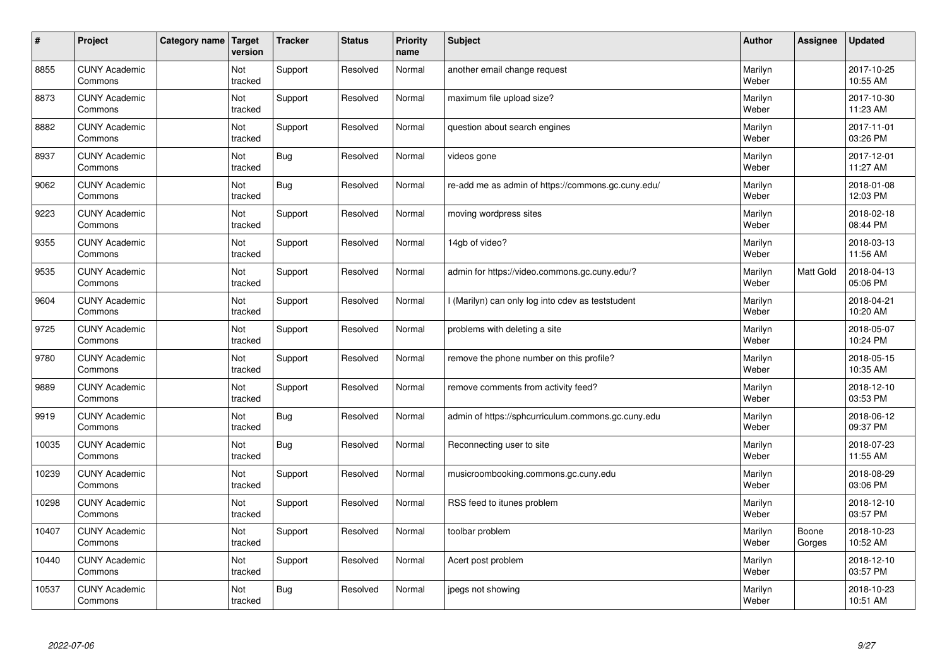| $\sharp$ | Project                         | Category name | Target<br>version | <b>Tracker</b> | <b>Status</b> | <b>Priority</b><br>name | <b>Subject</b>                                     | <b>Author</b>    | <b>Assignee</b> | <b>Updated</b>         |
|----------|---------------------------------|---------------|-------------------|----------------|---------------|-------------------------|----------------------------------------------------|------------------|-----------------|------------------------|
| 8855     | <b>CUNY Academic</b><br>Commons |               | Not<br>tracked    | Support        | Resolved      | Normal                  | another email change request                       | Marilyn<br>Weber |                 | 2017-10-25<br>10:55 AM |
| 8873     | <b>CUNY Academic</b><br>Commons |               | Not<br>tracked    | Support        | Resolved      | Normal                  | maximum file upload size?                          | Marilyn<br>Weber |                 | 2017-10-30<br>11:23 AM |
| 8882     | <b>CUNY Academic</b><br>Commons |               | Not<br>tracked    | Support        | Resolved      | Normal                  | question about search engines                      | Marilyn<br>Weber |                 | 2017-11-01<br>03:26 PM |
| 8937     | <b>CUNY Academic</b><br>Commons |               | Not<br>tracked    | <b>Bug</b>     | Resolved      | Normal                  | videos gone                                        | Marilyn<br>Weber |                 | 2017-12-01<br>11:27 AM |
| 9062     | <b>CUNY Academic</b><br>Commons |               | Not<br>tracked    | <b>Bug</b>     | Resolved      | Normal                  | re-add me as admin of https://commons.gc.cuny.edu/ | Marilyn<br>Weber |                 | 2018-01-08<br>12:03 PM |
| 9223     | <b>CUNY Academic</b><br>Commons |               | Not<br>tracked    | Support        | Resolved      | Normal                  | moving wordpress sites                             | Marilyn<br>Weber |                 | 2018-02-18<br>08:44 PM |
| 9355     | <b>CUNY Academic</b><br>Commons |               | Not<br>tracked    | Support        | Resolved      | Normal                  | 14gb of video?                                     | Marilyn<br>Weber |                 | 2018-03-13<br>11:56 AM |
| 9535     | <b>CUNY Academic</b><br>Commons |               | Not<br>tracked    | Support        | Resolved      | Normal                  | admin for https://video.commons.gc.cuny.edu/?      | Marilyn<br>Weber | Matt Gold       | 2018-04-13<br>05:06 PM |
| 9604     | <b>CUNY Academic</b><br>Commons |               | Not<br>tracked    | Support        | Resolved      | Normal                  | I (Marilyn) can only log into cdev as teststudent  | Marilyn<br>Weber |                 | 2018-04-21<br>10:20 AM |
| 9725     | <b>CUNY Academic</b><br>Commons |               | Not<br>tracked    | Support        | Resolved      | Normal                  | problems with deleting a site                      | Marilyn<br>Weber |                 | 2018-05-07<br>10:24 PM |
| 9780     | <b>CUNY Academic</b><br>Commons |               | Not<br>tracked    | Support        | Resolved      | Normal                  | remove the phone number on this profile?           | Marilyn<br>Weber |                 | 2018-05-15<br>10:35 AM |
| 9889     | <b>CUNY Academic</b><br>Commons |               | Not<br>tracked    | Support        | Resolved      | Normal                  | remove comments from activity feed?                | Marilyn<br>Weber |                 | 2018-12-10<br>03:53 PM |
| 9919     | <b>CUNY Academic</b><br>Commons |               | Not<br>tracked    | Bug            | Resolved      | Normal                  | admin of https://sphcurriculum.commons.gc.cuny.edu | Marilyn<br>Weber |                 | 2018-06-12<br>09:37 PM |
| 10035    | <b>CUNY Academic</b><br>Commons |               | Not<br>tracked    | <b>Bug</b>     | Resolved      | Normal                  | Reconnecting user to site                          | Marilyn<br>Weber |                 | 2018-07-23<br>11:55 AM |
| 10239    | <b>CUNY Academic</b><br>Commons |               | Not<br>tracked    | Support        | Resolved      | Normal                  | musicroombooking.commons.gc.cuny.edu               | Marilyn<br>Weber |                 | 2018-08-29<br>03:06 PM |
| 10298    | <b>CUNY Academic</b><br>Commons |               | Not<br>tracked    | Support        | Resolved      | Normal                  | RSS feed to itunes problem                         | Marilyn<br>Weber |                 | 2018-12-10<br>03:57 PM |
| 10407    | <b>CUNY Academic</b><br>Commons |               | Not<br>tracked    | Support        | Resolved      | Normal                  | toolbar problem                                    | Marilyn<br>Weber | Boone<br>Gorges | 2018-10-23<br>10:52 AM |
| 10440    | <b>CUNY Academic</b><br>Commons |               | Not<br>tracked    | Support        | Resolved      | Normal                  | Acert post problem                                 | Marilyn<br>Weber |                 | 2018-12-10<br>03:57 PM |
| 10537    | <b>CUNY Academic</b><br>Commons |               | Not<br>tracked    | Bug            | Resolved      | Normal                  | jpegs not showing                                  | Marilyn<br>Weber |                 | 2018-10-23<br>10:51 AM |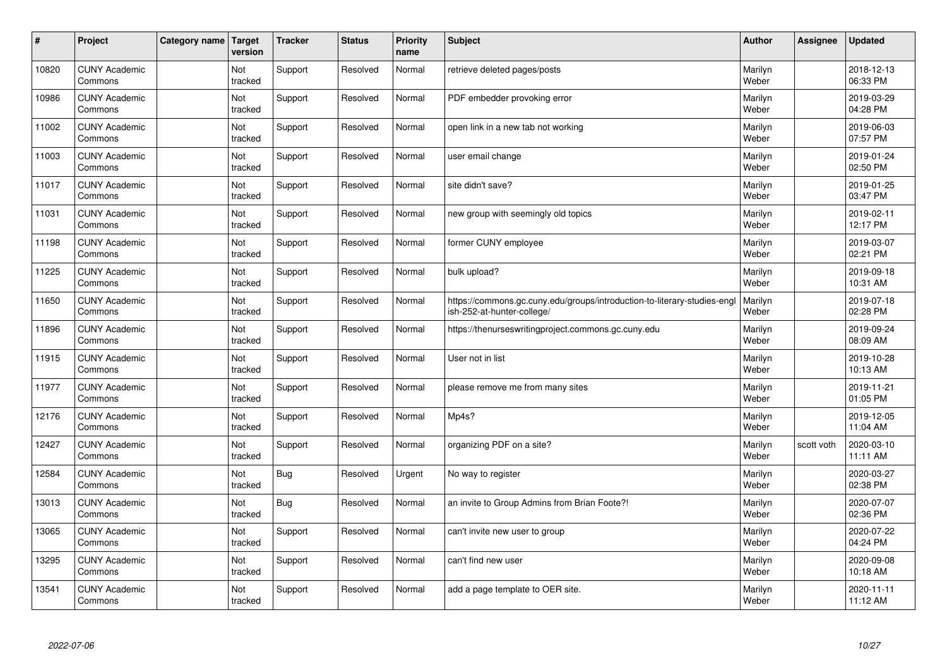| $\sharp$ | Project                         | Category name   Target | version        | <b>Tracker</b> | <b>Status</b> | <b>Priority</b><br>name | <b>Subject</b>                                                                                         | <b>Author</b>    | <b>Assignee</b> | <b>Updated</b>         |
|----------|---------------------------------|------------------------|----------------|----------------|---------------|-------------------------|--------------------------------------------------------------------------------------------------------|------------------|-----------------|------------------------|
| 10820    | <b>CUNY Academic</b><br>Commons |                        | Not<br>tracked | Support        | Resolved      | Normal                  | retrieve deleted pages/posts                                                                           | Marilyn<br>Weber |                 | 2018-12-13<br>06:33 PM |
| 10986    | <b>CUNY Academic</b><br>Commons |                        | Not<br>tracked | Support        | Resolved      | Normal                  | PDF embedder provoking error                                                                           | Marilyn<br>Weber |                 | 2019-03-29<br>04:28 PM |
| 11002    | <b>CUNY Academic</b><br>Commons |                        | Not<br>tracked | Support        | Resolved      | Normal                  | open link in a new tab not working                                                                     | Marilyn<br>Weber |                 | 2019-06-03<br>07:57 PM |
| 11003    | <b>CUNY Academic</b><br>Commons |                        | Not<br>tracked | Support        | Resolved      | Normal                  | user email change                                                                                      | Marilyn<br>Weber |                 | 2019-01-24<br>02:50 PM |
| 11017    | <b>CUNY Academic</b><br>Commons |                        | Not<br>tracked | Support        | Resolved      | Normal                  | site didn't save?                                                                                      | Marilyn<br>Weber |                 | 2019-01-25<br>03:47 PM |
| 11031    | <b>CUNY Academic</b><br>Commons |                        | Not<br>tracked | Support        | Resolved      | Normal                  | new group with seemingly old topics                                                                    | Marilyn<br>Weber |                 | 2019-02-11<br>12:17 PM |
| 11198    | <b>CUNY Academic</b><br>Commons |                        | Not<br>tracked | Support        | Resolved      | Normal                  | former CUNY employee                                                                                   | Marilyn<br>Weber |                 | 2019-03-07<br>02:21 PM |
| 11225    | <b>CUNY Academic</b><br>Commons |                        | Not<br>tracked | Support        | Resolved      | Normal                  | bulk upload?                                                                                           | Marilyn<br>Weber |                 | 2019-09-18<br>10:31 AM |
| 11650    | <b>CUNY Academic</b><br>Commons |                        | Not<br>tracked | Support        | Resolved      | Normal                  | https://commons.gc.cuny.edu/groups/introduction-to-literary-studies-engl<br>ish-252-at-hunter-college/ | Marilyn<br>Weber |                 | 2019-07-18<br>02:28 PM |
| 11896    | <b>CUNY Academic</b><br>Commons |                        | Not<br>tracked | Support        | Resolved      | Normal                  | https://thenurseswritingproject.commons.gc.cuny.edu                                                    | Marilyn<br>Weber |                 | 2019-09-24<br>08:09 AM |
| 11915    | <b>CUNY Academic</b><br>Commons |                        | Not<br>tracked | Support        | Resolved      | Normal                  | User not in list                                                                                       | Marilyn<br>Weber |                 | 2019-10-28<br>10:13 AM |
| 11977    | <b>CUNY Academic</b><br>Commons |                        | Not<br>tracked | Support        | Resolved      | Normal                  | please remove me from many sites                                                                       | Marilyn<br>Weber |                 | 2019-11-21<br>01:05 PM |
| 12176    | <b>CUNY Academic</b><br>Commons |                        | Not<br>tracked | Support        | Resolved      | Normal                  | Mp4s?                                                                                                  | Marilyn<br>Weber |                 | 2019-12-05<br>11:04 AM |
| 12427    | <b>CUNY Academic</b><br>Commons |                        | Not<br>tracked | Support        | Resolved      | Normal                  | organizing PDF on a site?                                                                              | Marilyn<br>Weber | scott voth      | 2020-03-10<br>11:11 AM |
| 12584    | <b>CUNY Academic</b><br>Commons |                        | Not<br>tracked | <b>Bug</b>     | Resolved      | Urgent                  | No way to register                                                                                     | Marilyn<br>Weber |                 | 2020-03-27<br>02:38 PM |
| 13013    | <b>CUNY Academic</b><br>Commons |                        | Not<br>tracked | <b>Bug</b>     | Resolved      | Normal                  | an invite to Group Admins from Brian Foote?!                                                           | Marilyn<br>Weber |                 | 2020-07-07<br>02:36 PM |
| 13065    | <b>CUNY Academic</b><br>Commons |                        | Not<br>tracked | Support        | Resolved      | Normal                  | can't invite new user to group                                                                         | Marilyn<br>Weber |                 | 2020-07-22<br>04:24 PM |
| 13295    | <b>CUNY Academic</b><br>Commons |                        | Not<br>tracked | Support        | Resolved      | Normal                  | can't find new user                                                                                    | Marilyn<br>Weber |                 | 2020-09-08<br>10:18 AM |
| 13541    | <b>CUNY Academic</b><br>Commons |                        | Not<br>tracked | Support        | Resolved      | Normal                  | add a page template to OER site.                                                                       | Marilyn<br>Weber |                 | 2020-11-11<br>11:12 AM |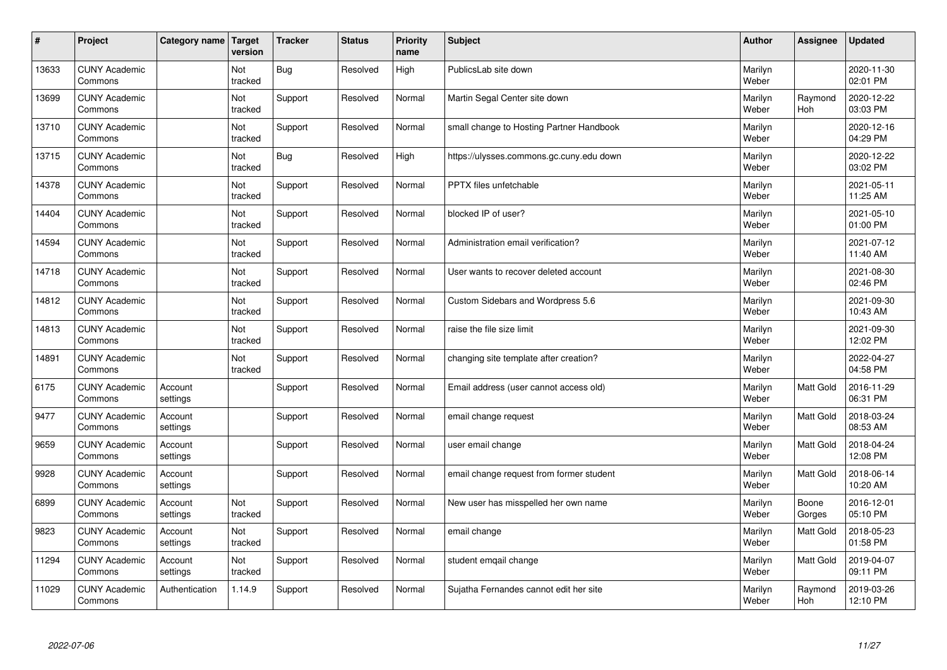| $\sharp$ | Project                         | Category name       | Target<br>version | <b>Tracker</b> | <b>Status</b> | <b>Priority</b><br>name | <b>Subject</b>                           | <b>Author</b>    | Assignee         | Updated                |
|----------|---------------------------------|---------------------|-------------------|----------------|---------------|-------------------------|------------------------------------------|------------------|------------------|------------------------|
| 13633    | <b>CUNY Academic</b><br>Commons |                     | Not<br>tracked    | Bug            | Resolved      | High                    | PublicsLab site down                     | Marilyn<br>Weber |                  | 2020-11-30<br>02:01 PM |
| 13699    | <b>CUNY Academic</b><br>Commons |                     | Not<br>tracked    | Support        | Resolved      | Normal                  | Martin Segal Center site down            | Marilyn<br>Weber | Raymond<br>Hoh   | 2020-12-22<br>03:03 PM |
| 13710    | <b>CUNY Academic</b><br>Commons |                     | Not<br>tracked    | Support        | Resolved      | Normal                  | small change to Hosting Partner Handbook | Marilyn<br>Weber |                  | 2020-12-16<br>04:29 PM |
| 13715    | <b>CUNY Academic</b><br>Commons |                     | Not<br>tracked    | Bug            | Resolved      | High                    | https://ulysses.commons.gc.cuny.edu down | Marilyn<br>Weber |                  | 2020-12-22<br>03:02 PM |
| 14378    | <b>CUNY Academic</b><br>Commons |                     | Not<br>tracked    | Support        | Resolved      | Normal                  | <b>PPTX</b> files unfetchable            | Marilyn<br>Weber |                  | 2021-05-11<br>11:25 AM |
| 14404    | <b>CUNY Academic</b><br>Commons |                     | Not<br>tracked    | Support        | Resolved      | Normal                  | blocked IP of user?                      | Marilyn<br>Weber |                  | 2021-05-10<br>01:00 PM |
| 14594    | <b>CUNY Academic</b><br>Commons |                     | Not<br>tracked    | Support        | Resolved      | Normal                  | Administration email verification?       | Marilyn<br>Weber |                  | 2021-07-12<br>11:40 AM |
| 14718    | <b>CUNY Academic</b><br>Commons |                     | Not<br>tracked    | Support        | Resolved      | Normal                  | User wants to recover deleted account    | Marilyn<br>Weber |                  | 2021-08-30<br>02:46 PM |
| 14812    | <b>CUNY Academic</b><br>Commons |                     | Not<br>tracked    | Support        | Resolved      | Normal                  | Custom Sidebars and Wordpress 5.6        | Marilyn<br>Weber |                  | 2021-09-30<br>10:43 AM |
| 14813    | <b>CUNY Academic</b><br>Commons |                     | Not<br>tracked    | Support        | Resolved      | Normal                  | raise the file size limit                | Marilyn<br>Weber |                  | 2021-09-30<br>12:02 PM |
| 14891    | <b>CUNY Academic</b><br>Commons |                     | Not<br>tracked    | Support        | Resolved      | Normal                  | changing site template after creation?   | Marilyn<br>Weber |                  | 2022-04-27<br>04:58 PM |
| 6175     | <b>CUNY Academic</b><br>Commons | Account<br>settings |                   | Support        | Resolved      | Normal                  | Email address (user cannot access old)   | Marilyn<br>Weber | <b>Matt Gold</b> | 2016-11-29<br>06:31 PM |
| 9477     | <b>CUNY Academic</b><br>Commons | Account<br>settings |                   | Support        | Resolved      | Normal                  | email change request                     | Marilyn<br>Weber | <b>Matt Gold</b> | 2018-03-24<br>08:53 AM |
| 9659     | <b>CUNY Academic</b><br>Commons | Account<br>settings |                   | Support        | Resolved      | Normal                  | user email change                        | Marilyn<br>Weber | Matt Gold        | 2018-04-24<br>12:08 PM |
| 9928     | <b>CUNY Academic</b><br>Commons | Account<br>settings |                   | Support        | Resolved      | Normal                  | email change request from former student | Marilyn<br>Weber | Matt Gold        | 2018-06-14<br>10:20 AM |
| 6899     | <b>CUNY Academic</b><br>Commons | Account<br>settings | Not<br>tracked    | Support        | Resolved      | Normal                  | New user has misspelled her own name     | Marilyn<br>Weber | Boone<br>Gorges  | 2016-12-01<br>05:10 PM |
| 9823     | <b>CUNY Academic</b><br>Commons | Account<br>settings | Not<br>tracked    | Support        | Resolved      | Normal                  | email change                             | Marilyn<br>Weber | Matt Gold        | 2018-05-23<br>01:58 PM |
| 11294    | <b>CUNY Academic</b><br>Commons | Account<br>settings | Not<br>tracked    | Support        | Resolved      | Normal                  | student emqail change                    | Marilyn<br>Weber | Matt Gold        | 2019-04-07<br>09:11 PM |
| 11029    | <b>CUNY Academic</b><br>Commons | Authentication      | 1.14.9            | Support        | Resolved      | Normal                  | Sujatha Fernandes cannot edit her site   | Marilyn<br>Weber | Raymond<br>Hoh   | 2019-03-26<br>12:10 PM |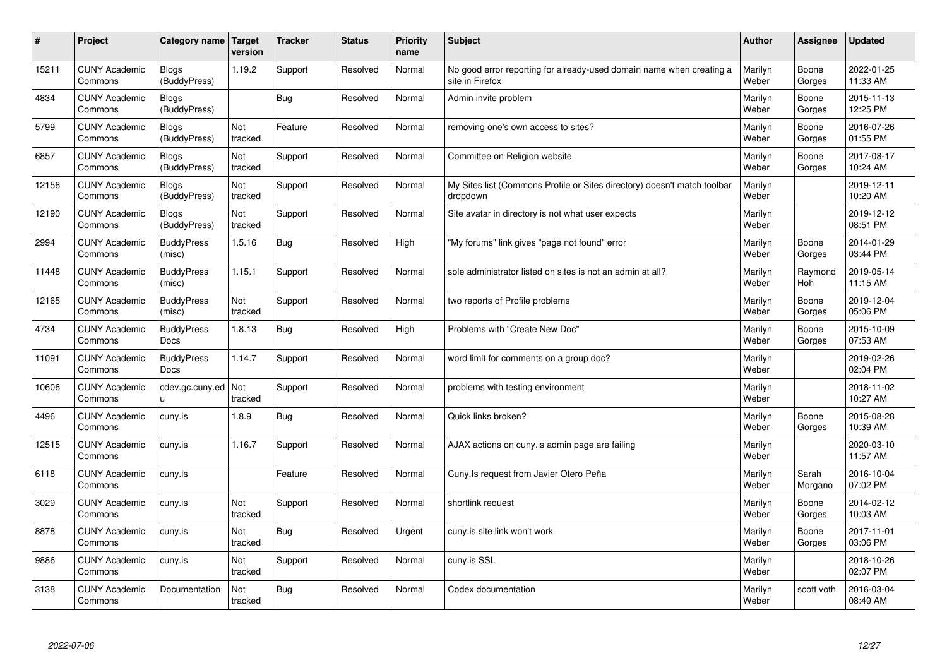| #     | Project                         | Category name                    | Target<br>version | <b>Tracker</b> | <b>Status</b> | Priority<br>name | <b>Subject</b>                                                                          | <b>Author</b>    | Assignee         | <b>Updated</b>         |
|-------|---------------------------------|----------------------------------|-------------------|----------------|---------------|------------------|-----------------------------------------------------------------------------------------|------------------|------------------|------------------------|
| 15211 | <b>CUNY Academic</b><br>Commons | <b>Blogs</b><br>(BuddyPress)     | 1.19.2            | Support        | Resolved      | Normal           | No good error reporting for already-used domain name when creating a<br>site in Firefox | Marilyn<br>Weber | Boone<br>Gorges  | 2022-01-25<br>11:33 AM |
| 4834  | <b>CUNY Academic</b><br>Commons | <b>Blogs</b><br>(BuddyPress)     |                   | <b>Bug</b>     | Resolved      | Normal           | Admin invite problem                                                                    | Marilyn<br>Weber | Boone<br>Gorges  | 2015-11-13<br>12:25 PM |
| 5799  | <b>CUNY Academic</b><br>Commons | <b>Blogs</b><br>(BuddyPress)     | Not<br>tracked    | Feature        | Resolved      | Normal           | removing one's own access to sites?                                                     | Marilyn<br>Weber | Boone<br>Gorges  | 2016-07-26<br>01:55 PM |
| 6857  | <b>CUNY Academic</b><br>Commons | <b>Blogs</b><br>(BuddyPress)     | Not<br>tracked    | Support        | Resolved      | Normal           | Committee on Religion website                                                           | Marilyn<br>Weber | Boone<br>Gorges  | 2017-08-17<br>10:24 AM |
| 12156 | <b>CUNY Academic</b><br>Commons | Blogs<br>(BuddyPress)            | Not<br>tracked    | Support        | Resolved      | Normal           | My Sites list (Commons Profile or Sites directory) doesn't match toolbar<br>dropdown    | Marilyn<br>Weber |                  | 2019-12-11<br>10:20 AM |
| 12190 | <b>CUNY Academic</b><br>Commons | <b>Blogs</b><br>(BuddyPress)     | Not<br>tracked    | Support        | Resolved      | Normal           | Site avatar in directory is not what user expects                                       | Marilyn<br>Weber |                  | 2019-12-12<br>08:51 PM |
| 2994  | <b>CUNY Academic</b><br>Commons | <b>BuddyPress</b><br>(misc)      | 1.5.16            | Bug            | Resolved      | High             | "My forums" link gives "page not found" error                                           | Marilyn<br>Weber | Boone<br>Gorges  | 2014-01-29<br>03:44 PM |
| 11448 | <b>CUNY Academic</b><br>Commons | <b>BuddyPress</b><br>(misc)      | 1.15.1            | Support        | Resolved      | Normal           | sole administrator listed on sites is not an admin at all?                              | Marilyn<br>Weber | Raymond<br>Hoh   | 2019-05-14<br>11:15 AM |
| 12165 | <b>CUNY Academic</b><br>Commons | <b>BuddyPress</b><br>(misc)      | Not<br>tracked    | Support        | Resolved      | Normal           | two reports of Profile problems                                                         | Marilyn<br>Weber | Boone<br>Gorges  | 2019-12-04<br>05:06 PM |
| 4734  | <b>CUNY Academic</b><br>Commons | <b>BuddyPress</b><br>Docs        | 1.8.13            | Bug            | Resolved      | High             | Problems with "Create New Doc"                                                          | Marilyn<br>Weber | Boone<br>Gorges  | 2015-10-09<br>07:53 AM |
| 11091 | <b>CUNY Academic</b><br>Commons | <b>BuddyPress</b><br><b>Docs</b> | 1.14.7            | Support        | Resolved      | Normal           | word limit for comments on a group doc?                                                 | Marilyn<br>Weber |                  | 2019-02-26<br>02:04 PM |
| 10606 | <b>CUNY Academic</b><br>Commons | cdev.gc.cuny.ed   Not<br>u.      | tracked           | Support        | Resolved      | Normal           | problems with testing environment                                                       | Marilyn<br>Weber |                  | 2018-11-02<br>10:27 AM |
| 4496  | <b>CUNY Academic</b><br>Commons | cuny.is                          | 1.8.9             | Bug            | Resolved      | Normal           | Quick links broken?                                                                     | Marilyn<br>Weber | Boone<br>Gorges  | 2015-08-28<br>10:39 AM |
| 12515 | <b>CUNY Academic</b><br>Commons | cuny.is                          | 1.16.7            | Support        | Resolved      | Normal           | AJAX actions on cuny.is admin page are failing                                          | Marilyn<br>Weber |                  | 2020-03-10<br>11:57 AM |
| 6118  | <b>CUNY Academic</b><br>Commons | cuny.is                          |                   | Feature        | Resolved      | Normal           | Cuny. Is request from Javier Otero Peña                                                 | Marilyn<br>Weber | Sarah<br>Morgano | 2016-10-04<br>07:02 PM |
| 3029  | <b>CUNY Academic</b><br>Commons | cuny.is                          | Not<br>tracked    | Support        | Resolved      | Normal           | shortlink request                                                                       | Marilyn<br>Weber | Boone<br>Gorges  | 2014-02-12<br>10:03 AM |
| 8878  | <b>CUNY Academic</b><br>Commons | cuny.is                          | Not<br>tracked    | Bug            | Resolved      | Urgent           | cuny.is site link won't work                                                            | Marilyn<br>Weber | Boone<br>Gorges  | 2017-11-01<br>03:06 PM |
| 9886  | <b>CUNY Academic</b><br>Commons | cuny.is                          | Not<br>tracked    | Support        | Resolved      | Normal           | cuny.is SSL                                                                             | Marilyn<br>Weber |                  | 2018-10-26<br>02:07 PM |
| 3138  | <b>CUNY Academic</b><br>Commons | Documentation                    | Not<br>tracked    | Bug            | Resolved      | Normal           | Codex documentation                                                                     | Marilyn<br>Weber | scott voth       | 2016-03-04<br>08:49 AM |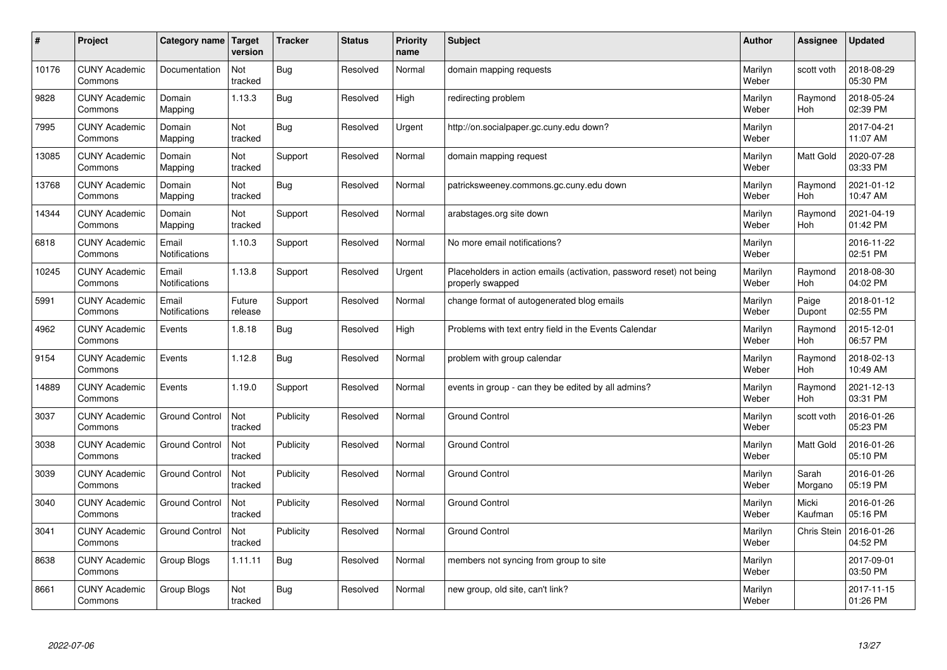| #     | Project                         | Category name   Target        | version           | <b>Tracker</b> | <b>Status</b> | <b>Priority</b><br>name | <b>Subject</b>                                                                           | <b>Author</b>    | Assignee              | <b>Updated</b>         |
|-------|---------------------------------|-------------------------------|-------------------|----------------|---------------|-------------------------|------------------------------------------------------------------------------------------|------------------|-----------------------|------------------------|
| 10176 | <b>CUNY Academic</b><br>Commons | Documentation                 | Not<br>tracked    | Bug            | Resolved      | Normal                  | domain mapping requests                                                                  | Marilyn<br>Weber | scott voth            | 2018-08-29<br>05:30 PM |
| 9828  | <b>CUNY Academic</b><br>Commons | Domain<br>Mapping             | 1.13.3            | Bug            | Resolved      | High                    | redirecting problem                                                                      | Marilyn<br>Weber | Raymond<br>Hoh        | 2018-05-24<br>02:39 PM |
| 7995  | <b>CUNY Academic</b><br>Commons | Domain<br>Mapping             | Not<br>tracked    | Bug            | Resolved      | Urgent                  | http://on.socialpaper.gc.cuny.edu down?                                                  | Marilyn<br>Weber |                       | 2017-04-21<br>11:07 AM |
| 13085 | <b>CUNY Academic</b><br>Commons | Domain<br>Mapping             | Not<br>tracked    | Support        | Resolved      | Normal                  | domain mapping request                                                                   | Marilyn<br>Weber | <b>Matt Gold</b>      | 2020-07-28<br>03:33 PM |
| 13768 | <b>CUNY Academic</b><br>Commons | Domain<br>Mapping             | Not<br>tracked    | Bug            | Resolved      | Normal                  | patricksweeney.commons.gc.cuny.edu down                                                  | Marilyn<br>Weber | Raymond<br>Hoh        | 2021-01-12<br>10:47 AM |
| 14344 | <b>CUNY Academic</b><br>Commons | Domain<br>Mapping             | Not<br>tracked    | Support        | Resolved      | Normal                  | arabstages.org site down                                                                 | Marilyn<br>Weber | Raymond<br>Hoh        | 2021-04-19<br>01:42 PM |
| 6818  | <b>CUNY Academic</b><br>Commons | Email<br><b>Notifications</b> | 1.10.3            | Support        | Resolved      | Normal                  | No more email notifications?                                                             | Marilyn<br>Weber |                       | 2016-11-22<br>02:51 PM |
| 10245 | <b>CUNY Academic</b><br>Commons | Email<br><b>Notifications</b> | 1.13.8            | Support        | Resolved      | Urgent                  | Placeholders in action emails (activation, password reset) not being<br>properly swapped | Marilyn<br>Weber | Raymond<br>Hoh        | 2018-08-30<br>04:02 PM |
| 5991  | <b>CUNY Academic</b><br>Commons | Email<br><b>Notifications</b> | Future<br>release | Support        | Resolved      | Normal                  | change format of autogenerated blog emails                                               | Marilyn<br>Weber | Paige<br>Dupont       | 2018-01-12<br>02:55 PM |
| 4962  | <b>CUNY Academic</b><br>Commons | Events                        | 1.8.18            | <b>Bug</b>     | Resolved      | High                    | Problems with text entry field in the Events Calendar                                    | Marilyn<br>Weber | Raymond<br><b>Hoh</b> | 2015-12-01<br>06:57 PM |
| 9154  | <b>CUNY Academic</b><br>Commons | Events                        | 1.12.8            | Bug            | Resolved      | Normal                  | problem with group calendar                                                              | Marilyn<br>Weber | Raymond<br>Hoh        | 2018-02-13<br>10:49 AM |
| 14889 | <b>CUNY Academic</b><br>Commons | Events                        | 1.19.0            | Support        | Resolved      | Normal                  | events in group - can they be edited by all admins?                                      | Marilyn<br>Weber | Raymond<br>Hoh        | 2021-12-13<br>03:31 PM |
| 3037  | <b>CUNY Academic</b><br>Commons | <b>Ground Control</b>         | Not<br>tracked    | Publicity      | Resolved      | Normal                  | <b>Ground Control</b>                                                                    | Marilyn<br>Weber | scott voth            | 2016-01-26<br>05:23 PM |
| 3038  | <b>CUNY Academic</b><br>Commons | <b>Ground Control</b>         | Not<br>tracked    | Publicity      | Resolved      | Normal                  | <b>Ground Control</b>                                                                    | Marilyn<br>Weber | Matt Gold             | 2016-01-26<br>05:10 PM |
| 3039  | <b>CUNY Academic</b><br>Commons | <b>Ground Control</b>         | Not<br>tracked    | Publicity      | Resolved      | Normal                  | <b>Ground Control</b>                                                                    | Marilyn<br>Weber | Sarah<br>Morgano      | 2016-01-26<br>05:19 PM |
| 3040  | <b>CUNY Academic</b><br>Commons | <b>Ground Control</b>         | Not<br>tracked    | Publicity      | Resolved      | Normal                  | <b>Ground Control</b>                                                                    | Marilyn<br>Weber | Micki<br>Kaufman      | 2016-01-26<br>05:16 PM |
| 3041  | <b>CUNY Academic</b><br>Commons | <b>Ground Control</b>         | Not<br>tracked    | Publicity      | Resolved      | Normal                  | <b>Ground Control</b>                                                                    | Marilyn<br>Weber | <b>Chris Stein</b>    | 2016-01-26<br>04:52 PM |
| 8638  | <b>CUNY Academic</b><br>Commons | Group Blogs                   | 1.11.11           | <b>Bug</b>     | Resolved      | Normal                  | members not syncing from group to site                                                   | Marilyn<br>Weber |                       | 2017-09-01<br>03:50 PM |
| 8661  | <b>CUNY Academic</b><br>Commons | Group Blogs                   | Not<br>tracked    | Bug            | Resolved      | Normal                  | new group, old site, can't link?                                                         | Marilyn<br>Weber |                       | 2017-11-15<br>01:26 PM |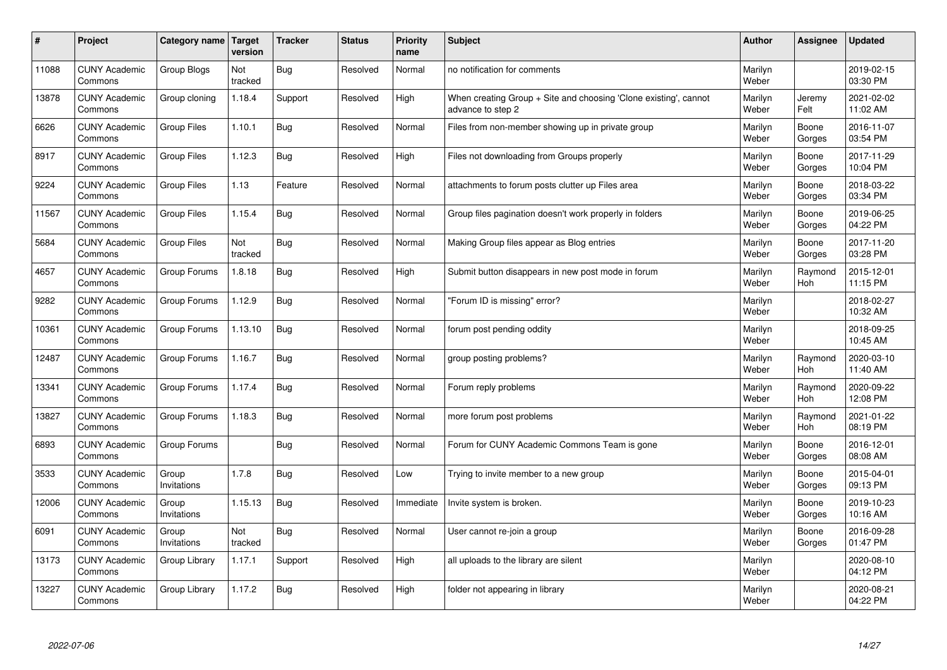| $\sharp$ | Project                         | Category name        | Target<br>version | <b>Tracker</b> | <b>Status</b> | <b>Priority</b><br>name | <b>Subject</b>                                                                        | <b>Author</b>    | Assignee        | <b>Updated</b>         |
|----------|---------------------------------|----------------------|-------------------|----------------|---------------|-------------------------|---------------------------------------------------------------------------------------|------------------|-----------------|------------------------|
| 11088    | <b>CUNY Academic</b><br>Commons | <b>Group Blogs</b>   | Not<br>tracked    | <b>Bug</b>     | Resolved      | Normal                  | no notification for comments                                                          | Marilyn<br>Weber |                 | 2019-02-15<br>03:30 PM |
| 13878    | <b>CUNY Academic</b><br>Commons | Group cloning        | 1.18.4            | Support        | Resolved      | High                    | When creating Group + Site and choosing 'Clone existing', cannot<br>advance to step 2 | Marilyn<br>Weber | Jeremy<br>Felt  | 2021-02-02<br>11:02 AM |
| 6626     | <b>CUNY Academic</b><br>Commons | <b>Group Files</b>   | 1.10.1            | <b>Bug</b>     | Resolved      | Normal                  | Files from non-member showing up in private group                                     | Marilyn<br>Weber | Boone<br>Gorges | 2016-11-07<br>03:54 PM |
| 8917     | <b>CUNY Academic</b><br>Commons | <b>Group Files</b>   | 1.12.3            | <b>Bug</b>     | Resolved      | High                    | Files not downloading from Groups properly                                            | Marilyn<br>Weber | Boone<br>Gorges | 2017-11-29<br>10:04 PM |
| 9224     | <b>CUNY Academic</b><br>Commons | <b>Group Files</b>   | 1.13              | Feature        | Resolved      | Normal                  | attachments to forum posts clutter up Files area                                      | Marilyn<br>Weber | Boone<br>Gorges | 2018-03-22<br>03:34 PM |
| 11567    | <b>CUNY Academic</b><br>Commons | <b>Group Files</b>   | 1.15.4            | <b>Bug</b>     | Resolved      | Normal                  | Group files pagination doesn't work properly in folders                               | Marilyn<br>Weber | Boone<br>Gorges | 2019-06-25<br>04:22 PM |
| 5684     | <b>CUNY Academic</b><br>Commons | <b>Group Files</b>   | Not<br>tracked    | <b>Bug</b>     | Resolved      | Normal                  | Making Group files appear as Blog entries                                             | Marilyn<br>Weber | Boone<br>Gorges | 2017-11-20<br>03:28 PM |
| 4657     | <b>CUNY Academic</b><br>Commons | Group Forums         | 1.8.18            | <b>Bug</b>     | Resolved      | High                    | Submit button disappears in new post mode in forum                                    | Marilyn<br>Weber | Raymond<br>Hoh  | 2015-12-01<br>11:15 PM |
| 9282     | <b>CUNY Academic</b><br>Commons | Group Forums         | 1.12.9            | Bug            | Resolved      | Normal                  | 'Forum ID is missing" error?                                                          | Marilyn<br>Weber |                 | 2018-02-27<br>10:32 AM |
| 10361    | <b>CUNY Academic</b><br>Commons | Group Forums         | 1.13.10           | Bug            | Resolved      | Normal                  | forum post pending oddity                                                             | Marilyn<br>Weber |                 | 2018-09-25<br>10:45 AM |
| 12487    | <b>CUNY Academic</b><br>Commons | Group Forums         | 1.16.7            | Bug            | Resolved      | Normal                  | group posting problems?                                                               | Marilyn<br>Weber | Raymond<br>Hoh  | 2020-03-10<br>11:40 AM |
| 13341    | <b>CUNY Academic</b><br>Commons | Group Forums         | 1.17.4            | <b>Bug</b>     | Resolved      | Normal                  | Forum reply problems                                                                  | Marilyn<br>Weber | Raymond<br>Hoh  | 2020-09-22<br>12:08 PM |
| 13827    | <b>CUNY Academic</b><br>Commons | Group Forums         | 1.18.3            | <b>Bug</b>     | Resolved      | Normal                  | more forum post problems                                                              | Marilyn<br>Weber | Raymond<br>Hoh  | 2021-01-22<br>08:19 PM |
| 6893     | <b>CUNY Academic</b><br>Commons | Group Forums         |                   | <b>Bug</b>     | Resolved      | Normal                  | Forum for CUNY Academic Commons Team is gone                                          | Marilyn<br>Weber | Boone<br>Gorges | 2016-12-01<br>08:08 AM |
| 3533     | <b>CUNY Academic</b><br>Commons | Group<br>Invitations | 1.7.8             | Bug            | Resolved      | Low                     | Trying to invite member to a new group                                                | Marilyn<br>Weber | Boone<br>Gorges | 2015-04-01<br>09:13 PM |
| 12006    | <b>CUNY Academic</b><br>Commons | Group<br>Invitations | 1.15.13           | Bug            | Resolved      | Immediate               | Invite system is broken.                                                              | Marilyn<br>Weber | Boone<br>Gorges | 2019-10-23<br>10:16 AM |
| 6091     | <b>CUNY Academic</b><br>Commons | Group<br>Invitations | Not<br>tracked    | Bug            | Resolved      | Normal                  | User cannot re-join a group                                                           | Marilyn<br>Weber | Boone<br>Gorges | 2016-09-28<br>01:47 PM |
| 13173    | <b>CUNY Academic</b><br>Commons | Group Library        | 1.17.1            | Support        | Resolved      | High                    | all uploads to the library are silent                                                 | Marilyn<br>Weber |                 | 2020-08-10<br>04:12 PM |
| 13227    | <b>CUNY Academic</b><br>Commons | Group Library        | 1.17.2            | Bug            | Resolved      | High                    | folder not appearing in library                                                       | Marilyn<br>Weber |                 | 2020-08-21<br>04:22 PM |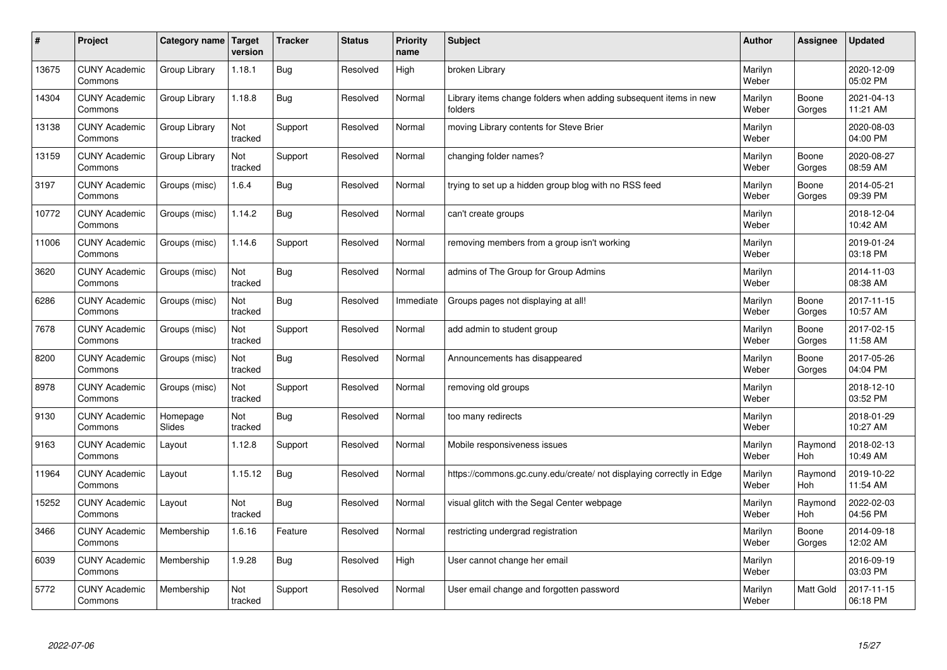| $\pmb{\sharp}$ | Project                         | Category name      | <b>Target</b><br>version | <b>Tracker</b> | <b>Status</b> | <b>Priority</b><br>name | <b>Subject</b>                                                              | <b>Author</b>    | Assignee        | <b>Updated</b>         |
|----------------|---------------------------------|--------------------|--------------------------|----------------|---------------|-------------------------|-----------------------------------------------------------------------------|------------------|-----------------|------------------------|
| 13675          | <b>CUNY Academic</b><br>Commons | Group Library      | 1.18.1                   | <b>Bug</b>     | Resolved      | High                    | broken Library                                                              | Marilyn<br>Weber |                 | 2020-12-09<br>05:02 PM |
| 14304          | <b>CUNY Academic</b><br>Commons | Group Library      | 1.18.8                   | Bug            | Resolved      | Normal                  | Library items change folders when adding subsequent items in new<br>folders | Marilyn<br>Weber | Boone<br>Gorges | 2021-04-13<br>11:21 AM |
| 13138          | <b>CUNY Academic</b><br>Commons | Group Library      | Not<br>tracked           | Support        | Resolved      | Normal                  | moving Library contents for Steve Brier                                     | Marilyn<br>Weber |                 | 2020-08-03<br>04:00 PM |
| 13159          | <b>CUNY Academic</b><br>Commons | Group Library      | Not<br>tracked           | Support        | Resolved      | Normal                  | changing folder names?                                                      | Marilyn<br>Weber | Boone<br>Gorges | 2020-08-27<br>08:59 AM |
| 3197           | <b>CUNY Academic</b><br>Commons | Groups (misc)      | 1.6.4                    | <b>Bug</b>     | Resolved      | Normal                  | trying to set up a hidden group blog with no RSS feed                       | Marilyn<br>Weber | Boone<br>Gorges | 2014-05-21<br>09:39 PM |
| 10772          | <b>CUNY Academic</b><br>Commons | Groups (misc)      | 1.14.2                   | Bug            | Resolved      | Normal                  | can't create groups                                                         | Marilyn<br>Weber |                 | 2018-12-04<br>10:42 AM |
| 11006          | <b>CUNY Academic</b><br>Commons | Groups (misc)      | 1.14.6                   | Support        | Resolved      | Normal                  | removing members from a group isn't working                                 | Marilyn<br>Weber |                 | 2019-01-24<br>03:18 PM |
| 3620           | <b>CUNY Academic</b><br>Commons | Groups (misc)      | Not<br>tracked           | Bug            | Resolved      | Normal                  | admins of The Group for Group Admins                                        | Marilyn<br>Weber |                 | 2014-11-03<br>08:38 AM |
| 6286           | <b>CUNY Academic</b><br>Commons | Groups (misc)      | Not<br>tracked           | <b>Bug</b>     | Resolved      | Immediate               | Groups pages not displaying at all!                                         | Marilyn<br>Weber | Boone<br>Gorges | 2017-11-15<br>10:57 AM |
| 7678           | <b>CUNY Academic</b><br>Commons | Groups (misc)      | Not<br>tracked           | Support        | Resolved      | Normal                  | add admin to student group                                                  | Marilyn<br>Weber | Boone<br>Gorges | 2017-02-15<br>11:58 AM |
| 8200           | <b>CUNY Academic</b><br>Commons | Groups (misc)      | Not<br>tracked           | Bug            | Resolved      | Normal                  | Announcements has disappeared                                               | Marilyn<br>Weber | Boone<br>Gorges | 2017-05-26<br>04:04 PM |
| 8978           | <b>CUNY Academic</b><br>Commons | Groups (misc)      | Not<br>tracked           | Support        | Resolved      | Normal                  | removing old groups                                                         | Marilyn<br>Weber |                 | 2018-12-10<br>03:52 PM |
| 9130           | <b>CUNY Academic</b><br>Commons | Homepage<br>Slides | Not<br>tracked           | <b>Bug</b>     | Resolved      | Normal                  | too many redirects                                                          | Marilyn<br>Weber |                 | 2018-01-29<br>10:27 AM |
| 9163           | <b>CUNY Academic</b><br>Commons | Layout             | 1.12.8                   | Support        | Resolved      | Normal                  | Mobile responsiveness issues                                                | Marilyn<br>Weber | Raymond<br>Hoh  | 2018-02-13<br>10:49 AM |
| 11964          | <b>CUNY Academic</b><br>Commons | Layout             | 1.15.12                  | <b>Bug</b>     | Resolved      | Normal                  | https://commons.gc.cuny.edu/create/ not displaying correctly in Edge        | Marilyn<br>Weber | Raymond<br>Hoh  | 2019-10-22<br>11:54 AM |
| 15252          | <b>CUNY Academic</b><br>Commons | Layout             | Not<br>tracked           | <b>Bug</b>     | Resolved      | Normal                  | visual glitch with the Segal Center webpage                                 | Marilyn<br>Weber | Raymond<br>Hoh  | 2022-02-03<br>04:56 PM |
| 3466           | <b>CUNY Academic</b><br>Commons | Membership         | 1.6.16                   | Feature        | Resolved      | Normal                  | restricting undergrad registration                                          | Marilyn<br>Weber | Boone<br>Gorges | 2014-09-18<br>12:02 AM |
| 6039           | <b>CUNY Academic</b><br>Commons | Membership         | 1.9.28                   | <b>Bug</b>     | Resolved      | High                    | User cannot change her email                                                | Marilyn<br>Weber |                 | 2016-09-19<br>03:03 PM |
| 5772           | <b>CUNY Academic</b><br>Commons | Membership         | Not<br>tracked           | Support        | Resolved      | Normal                  | User email change and forgotten password                                    | Marilyn<br>Weber | Matt Gold       | 2017-11-15<br>06:18 PM |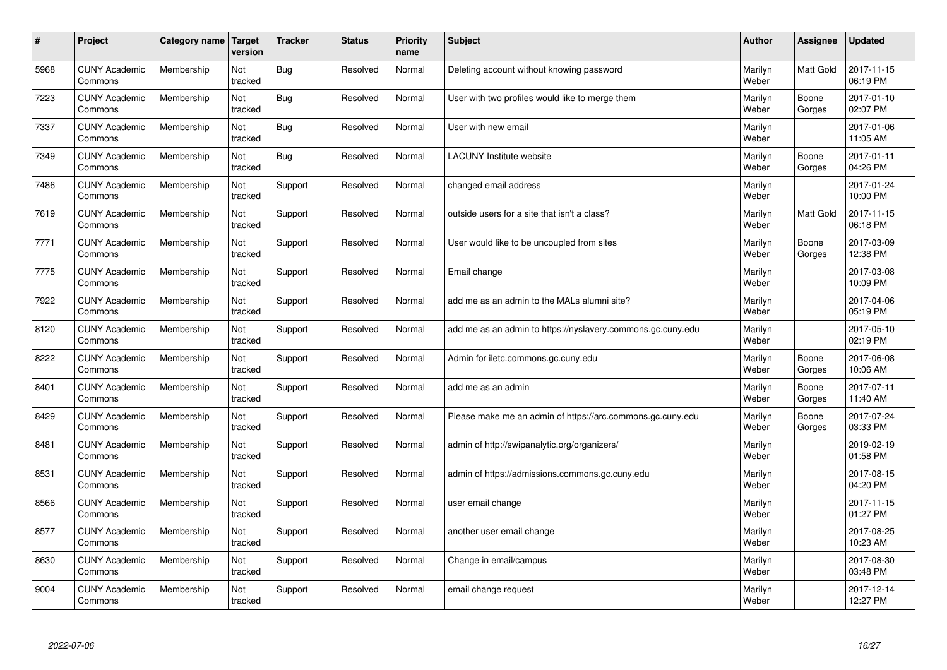| #    | Project                         | Category name | Target<br>version | <b>Tracker</b> | <b>Status</b> | <b>Priority</b><br>name | <b>Subject</b>                                              | <b>Author</b>    | Assignee         | <b>Updated</b>         |
|------|---------------------------------|---------------|-------------------|----------------|---------------|-------------------------|-------------------------------------------------------------|------------------|------------------|------------------------|
| 5968 | <b>CUNY Academic</b><br>Commons | Membership    | Not<br>tracked    | <b>Bug</b>     | Resolved      | Normal                  | Deleting account without knowing password                   | Marilyn<br>Weber | <b>Matt Gold</b> | 2017-11-15<br>06:19 PM |
| 7223 | <b>CUNY Academic</b><br>Commons | Membership    | Not<br>tracked    | Bug            | Resolved      | Normal                  | User with two profiles would like to merge them             | Marilyn<br>Weber | Boone<br>Gorges  | 2017-01-10<br>02:07 PM |
| 7337 | <b>CUNY Academic</b><br>Commons | Membership    | Not<br>tracked    | Bug            | Resolved      | Normal                  | User with new email                                         | Marilyn<br>Weber |                  | 2017-01-06<br>11:05 AM |
| 7349 | <b>CUNY Academic</b><br>Commons | Membership    | Not<br>tracked    | Bug            | Resolved      | Normal                  | LACUNY Institute website                                    | Marilyn<br>Weber | Boone<br>Gorges  | 2017-01-11<br>04:26 PM |
| 7486 | <b>CUNY Academic</b><br>Commons | Membership    | Not<br>tracked    | Support        | Resolved      | Normal                  | changed email address                                       | Marilyn<br>Weber |                  | 2017-01-24<br>10:00 PM |
| 7619 | <b>CUNY Academic</b><br>Commons | Membership    | Not<br>tracked    | Support        | Resolved      | Normal                  | outside users for a site that isn't a class?                | Marilyn<br>Weber | Matt Gold        | 2017-11-15<br>06:18 PM |
| 7771 | <b>CUNY Academic</b><br>Commons | Membership    | Not<br>tracked    | Support        | Resolved      | Normal                  | User would like to be uncoupled from sites                  | Marilyn<br>Weber | Boone<br>Gorges  | 2017-03-09<br>12:38 PM |
| 7775 | <b>CUNY Academic</b><br>Commons | Membership    | Not<br>tracked    | Support        | Resolved      | Normal                  | Email change                                                | Marilyn<br>Weber |                  | 2017-03-08<br>10:09 PM |
| 7922 | <b>CUNY Academic</b><br>Commons | Membership    | Not<br>tracked    | Support        | Resolved      | Normal                  | add me as an admin to the MALs alumni site?                 | Marilyn<br>Weber |                  | 2017-04-06<br>05:19 PM |
| 8120 | <b>CUNY Academic</b><br>Commons | Membership    | Not<br>tracked    | Support        | Resolved      | Normal                  | add me as an admin to https://nyslavery.commons.gc.cuny.edu | Marilyn<br>Weber |                  | 2017-05-10<br>02:19 PM |
| 8222 | <b>CUNY Academic</b><br>Commons | Membership    | Not<br>tracked    | Support        | Resolved      | Normal                  | Admin for iletc.commons.gc.cuny.edu                         | Marilyn<br>Weber | Boone<br>Gorges  | 2017-06-08<br>10:06 AM |
| 8401 | <b>CUNY Academic</b><br>Commons | Membership    | Not<br>tracked    | Support        | Resolved      | Normal                  | add me as an admin                                          | Marilyn<br>Weber | Boone<br>Gorges  | 2017-07-11<br>11:40 AM |
| 8429 | <b>CUNY Academic</b><br>Commons | Membership    | Not<br>tracked    | Support        | Resolved      | Normal                  | Please make me an admin of https://arc.commons.gc.cuny.edu  | Marilyn<br>Weber | Boone<br>Gorges  | 2017-07-24<br>03:33 PM |
| 8481 | <b>CUNY Academic</b><br>Commons | Membership    | Not<br>tracked    | Support        | Resolved      | Normal                  | admin of http://swipanalytic.org/organizers/                | Marilyn<br>Weber |                  | 2019-02-19<br>01:58 PM |
| 8531 | <b>CUNY Academic</b><br>Commons | Membership    | Not<br>tracked    | Support        | Resolved      | Normal                  | admin of https://admissions.commons.gc.cuny.edu             | Marilyn<br>Weber |                  | 2017-08-15<br>04:20 PM |
| 8566 | <b>CUNY Academic</b><br>Commons | Membership    | Not<br>tracked    | Support        | Resolved      | Normal                  | user email change                                           | Marilyn<br>Weber |                  | 2017-11-15<br>01:27 PM |
| 8577 | <b>CUNY Academic</b><br>Commons | Membership    | Not<br>tracked    | Support        | Resolved      | Normal                  | another user email change                                   | Marilyn<br>Weber |                  | 2017-08-25<br>10:23 AM |
| 8630 | <b>CUNY Academic</b><br>Commons | Membership    | Not<br>tracked    | Support        | Resolved      | Normal                  | Change in email/campus                                      | Marilyn<br>Weber |                  | 2017-08-30<br>03:48 PM |
| 9004 | <b>CUNY Academic</b><br>Commons | Membership    | Not<br>tracked    | Support        | Resolved      | Normal                  | email change request                                        | Marilyn<br>Weber |                  | 2017-12-14<br>12:27 PM |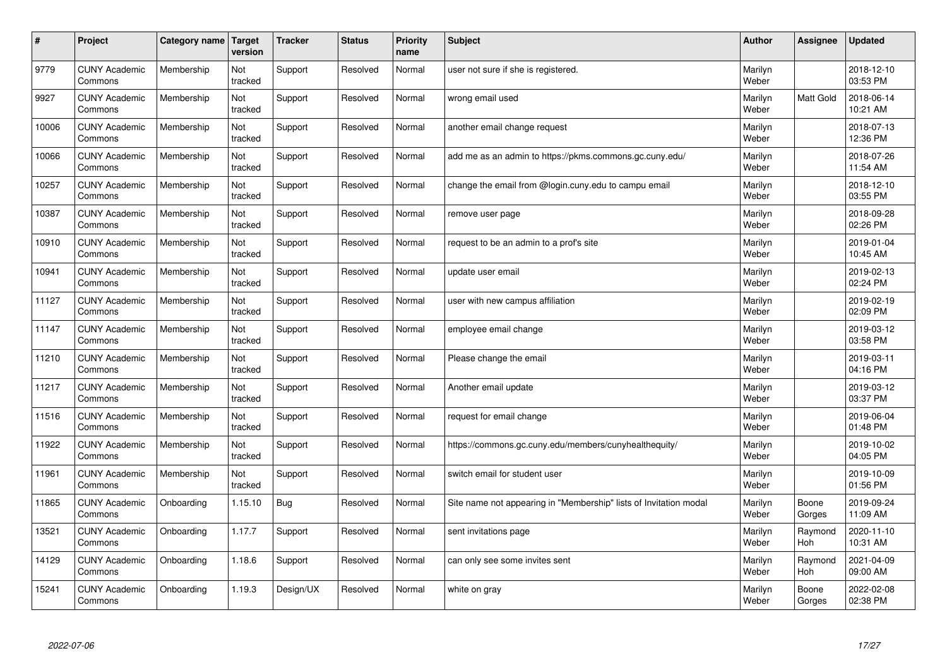| $\sharp$ | Project                         | Category name   Target | version        | <b>Tracker</b> | <b>Status</b> | <b>Priority</b><br>name | <b>Subject</b>                                                    | <b>Author</b>    | Assignee         | <b>Updated</b>         |
|----------|---------------------------------|------------------------|----------------|----------------|---------------|-------------------------|-------------------------------------------------------------------|------------------|------------------|------------------------|
| 9779     | <b>CUNY Academic</b><br>Commons | Membership             | Not<br>tracked | Support        | Resolved      | Normal                  | user not sure if she is registered.                               | Marilyn<br>Weber |                  | 2018-12-10<br>03:53 PM |
| 9927     | <b>CUNY Academic</b><br>Commons | Membership             | Not<br>tracked | Support        | Resolved      | Normal                  | wrong email used                                                  | Marilyn<br>Weber | <b>Matt Gold</b> | 2018-06-14<br>10:21 AM |
| 10006    | <b>CUNY Academic</b><br>Commons | Membership             | Not<br>tracked | Support        | Resolved      | Normal                  | another email change request                                      | Marilyn<br>Weber |                  | 2018-07-13<br>12:36 PM |
| 10066    | <b>CUNY Academic</b><br>Commons | Membership             | Not<br>tracked | Support        | Resolved      | Normal                  | add me as an admin to https://pkms.commons.gc.cuny.edu/           | Marilyn<br>Weber |                  | 2018-07-26<br>11:54 AM |
| 10257    | <b>CUNY Academic</b><br>Commons | Membership             | Not<br>tracked | Support        | Resolved      | Normal                  | change the email from @login.cuny.edu to campu email              | Marilyn<br>Weber |                  | 2018-12-10<br>03:55 PM |
| 10387    | <b>CUNY Academic</b><br>Commons | Membership             | Not<br>tracked | Support        | Resolved      | Normal                  | remove user page                                                  | Marilyn<br>Weber |                  | 2018-09-28<br>02:26 PM |
| 10910    | <b>CUNY Academic</b><br>Commons | Membership             | Not<br>tracked | Support        | Resolved      | Normal                  | request to be an admin to a prof's site                           | Marilyn<br>Weber |                  | 2019-01-04<br>10:45 AM |
| 10941    | <b>CUNY Academic</b><br>Commons | Membership             | Not<br>tracked | Support        | Resolved      | Normal                  | update user email                                                 | Marilyn<br>Weber |                  | 2019-02-13<br>02:24 PM |
| 11127    | <b>CUNY Academic</b><br>Commons | Membership             | Not<br>tracked | Support        | Resolved      | Normal                  | user with new campus affiliation                                  | Marilyn<br>Weber |                  | 2019-02-19<br>02:09 PM |
| 11147    | <b>CUNY Academic</b><br>Commons | Membership             | Not<br>tracked | Support        | Resolved      | Normal                  | employee email change                                             | Marilyn<br>Weber |                  | 2019-03-12<br>03:58 PM |
| 11210    | <b>CUNY Academic</b><br>Commons | Membership             | Not<br>tracked | Support        | Resolved      | Normal                  | Please change the email                                           | Marilyn<br>Weber |                  | 2019-03-11<br>04:16 PM |
| 11217    | <b>CUNY Academic</b><br>Commons | Membership             | Not<br>tracked | Support        | Resolved      | Normal                  | Another email update                                              | Marilyn<br>Weber |                  | 2019-03-12<br>03:37 PM |
| 11516    | <b>CUNY Academic</b><br>Commons | Membership             | Not<br>tracked | Support        | Resolved      | Normal                  | request for email change                                          | Marilyn<br>Weber |                  | 2019-06-04<br>01:48 PM |
| 11922    | <b>CUNY Academic</b><br>Commons | Membership             | Not<br>tracked | Support        | Resolved      | Normal                  | https://commons.gc.cuny.edu/members/cunyhealthequity/             | Marilyn<br>Weber |                  | 2019-10-02<br>04:05 PM |
| 11961    | <b>CUNY Academic</b><br>Commons | Membership             | Not<br>tracked | Support        | Resolved      | Normal                  | switch email for student user                                     | Marilyn<br>Weber |                  | 2019-10-09<br>01:56 PM |
| 11865    | <b>CUNY Academic</b><br>Commons | Onboarding             | 1.15.10        | Bug            | Resolved      | Normal                  | Site name not appearing in "Membership" lists of Invitation modal | Marilyn<br>Weber | Boone<br>Gorges  | 2019-09-24<br>11:09 AM |
| 13521    | <b>CUNY Academic</b><br>Commons | Onboarding             | 1.17.7         | Support        | Resolved      | Normal                  | sent invitations page                                             | Marilyn<br>Weber | Raymond<br>Hoh   | 2020-11-10<br>10:31 AM |
| 14129    | <b>CUNY Academic</b><br>Commons | Onboarding             | 1.18.6         | Support        | Resolved      | Normal                  | can only see some invites sent                                    | Marilyn<br>Weber | Raymond<br>Hoh   | 2021-04-09<br>09:00 AM |
| 15241    | <b>CUNY Academic</b><br>Commons | Onboarding             | 1.19.3         | Design/UX      | Resolved      | Normal                  | white on gray                                                     | Marilyn<br>Weber | Boone<br>Gorges  | 2022-02-08<br>02:38 PM |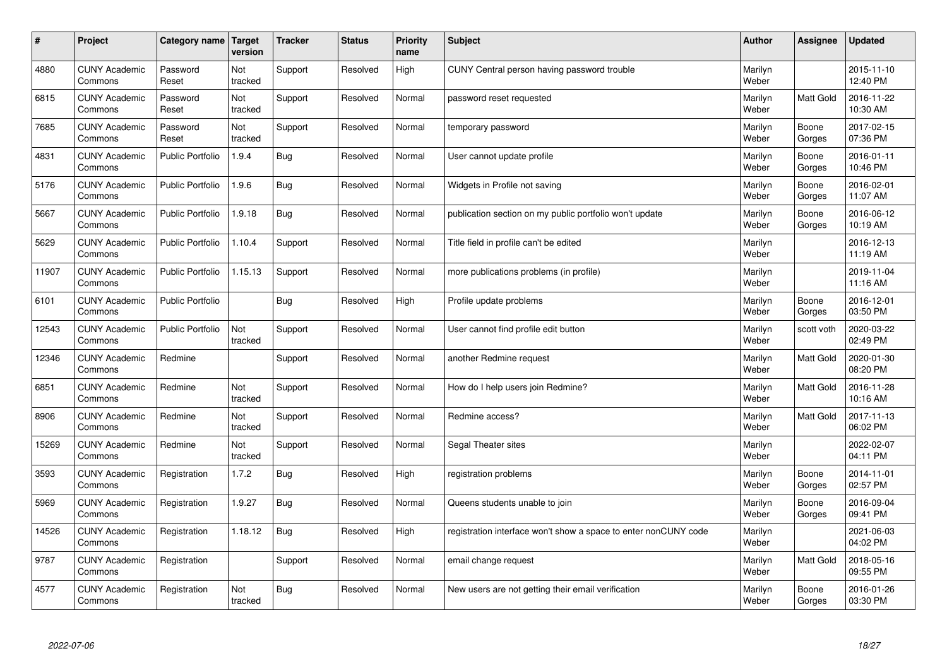| $\vert$ # | Project                         | Category name   Target  | version        | <b>Tracker</b> | <b>Status</b> | <b>Priority</b><br>name | <b>Subject</b>                                                  | <b>Author</b>    | <b>Assignee</b>  | <b>Updated</b>         |
|-----------|---------------------------------|-------------------------|----------------|----------------|---------------|-------------------------|-----------------------------------------------------------------|------------------|------------------|------------------------|
| 4880      | <b>CUNY Academic</b><br>Commons | Password<br>Reset       | Not<br>tracked | Support        | Resolved      | High                    | CUNY Central person having password trouble                     | Marilyn<br>Weber |                  | 2015-11-10<br>12:40 PM |
| 6815      | <b>CUNY Academic</b><br>Commons | Password<br>Reset       | Not<br>tracked | Support        | Resolved      | Normal                  | password reset requested                                        | Marilyn<br>Weber | Matt Gold        | 2016-11-22<br>10:30 AM |
| 7685      | <b>CUNY Academic</b><br>Commons | Password<br>Reset       | Not<br>tracked | Support        | Resolved      | Normal                  | temporary password                                              | Marilyn<br>Weber | Boone<br>Gorges  | 2017-02-15<br>07:36 PM |
| 4831      | <b>CUNY Academic</b><br>Commons | <b>Public Portfolio</b> | 1.9.4          | Bug            | Resolved      | Normal                  | User cannot update profile                                      | Marilyn<br>Weber | Boone<br>Gorges  | 2016-01-11<br>10:46 PM |
| 5176      | <b>CUNY Academic</b><br>Commons | <b>Public Portfolio</b> | 1.9.6          | <b>Bug</b>     | Resolved      | Normal                  | Widgets in Profile not saving                                   | Marilyn<br>Weber | Boone<br>Gorges  | 2016-02-01<br>11:07 AM |
| 5667      | <b>CUNY Academic</b><br>Commons | <b>Public Portfolio</b> | 1.9.18         | Bug            | Resolved      | Normal                  | publication section on my public portfolio won't update         | Marilyn<br>Weber | Boone<br>Gorges  | 2016-06-12<br>10:19 AM |
| 5629      | <b>CUNY Academic</b><br>Commons | <b>Public Portfolio</b> | 1.10.4         | Support        | Resolved      | Normal                  | Title field in profile can't be edited                          | Marilyn<br>Weber |                  | 2016-12-13<br>11:19 AM |
| 11907     | <b>CUNY Academic</b><br>Commons | <b>Public Portfolio</b> | 1.15.13        | Support        | Resolved      | Normal                  | more publications problems (in profile)                         | Marilyn<br>Weber |                  | 2019-11-04<br>11:16 AM |
| 6101      | <b>CUNY Academic</b><br>Commons | <b>Public Portfolio</b> |                | <b>Bug</b>     | Resolved      | High                    | Profile update problems                                         | Marilyn<br>Weber | Boone<br>Gorges  | 2016-12-01<br>03:50 PM |
| 12543     | <b>CUNY Academic</b><br>Commons | <b>Public Portfolio</b> | Not<br>tracked | Support        | Resolved      | Normal                  | User cannot find profile edit button                            | Marilyn<br>Weber | scott voth       | 2020-03-22<br>02:49 PM |
| 12346     | <b>CUNY Academic</b><br>Commons | Redmine                 |                | Support        | Resolved      | Normal                  | another Redmine request                                         | Marilyn<br>Weber | Matt Gold        | 2020-01-30<br>08:20 PM |
| 6851      | <b>CUNY Academic</b><br>Commons | Redmine                 | Not<br>tracked | Support        | Resolved      | Normal                  | How do I help users join Redmine?                               | Marilyn<br>Weber | Matt Gold        | 2016-11-28<br>10:16 AM |
| 8906      | <b>CUNY Academic</b><br>Commons | Redmine                 | Not<br>tracked | Support        | Resolved      | Normal                  | Redmine access?                                                 | Marilyn<br>Weber | <b>Matt Gold</b> | 2017-11-13<br>06:02 PM |
| 15269     | <b>CUNY Academic</b><br>Commons | Redmine                 | Not<br>tracked | Support        | Resolved      | Normal                  | Segal Theater sites                                             | Marilyn<br>Weber |                  | 2022-02-07<br>04:11 PM |
| 3593      | <b>CUNY Academic</b><br>Commons | Registration            | 1.7.2          | Bug            | Resolved      | High                    | registration problems                                           | Marilyn<br>Weber | Boone<br>Gorges  | 2014-11-01<br>02:57 PM |
| 5969      | <b>CUNY Academic</b><br>Commons | Registration            | 1.9.27         | Bug            | Resolved      | Normal                  | Queens students unable to join                                  | Marilyn<br>Weber | Boone<br>Gorges  | 2016-09-04<br>09:41 PM |
| 14526     | <b>CUNY Academic</b><br>Commons | Registration            | 1.18.12        | Bug            | Resolved      | High                    | registration interface won't show a space to enter nonCUNY code | Marilyn<br>Weber |                  | 2021-06-03<br>04:02 PM |
| 9787      | <b>CUNY Academic</b><br>Commons | Registration            |                | Support        | Resolved      | Normal                  | email change request                                            | Marilyn<br>Weber | Matt Gold        | 2018-05-16<br>09:55 PM |
| 4577      | <b>CUNY Academic</b><br>Commons | Registration            | Not<br>tracked | <b>Bug</b>     | Resolved      | Normal                  | New users are not getting their email verification              | Marilyn<br>Weber | Boone<br>Gorges  | 2016-01-26<br>03:30 PM |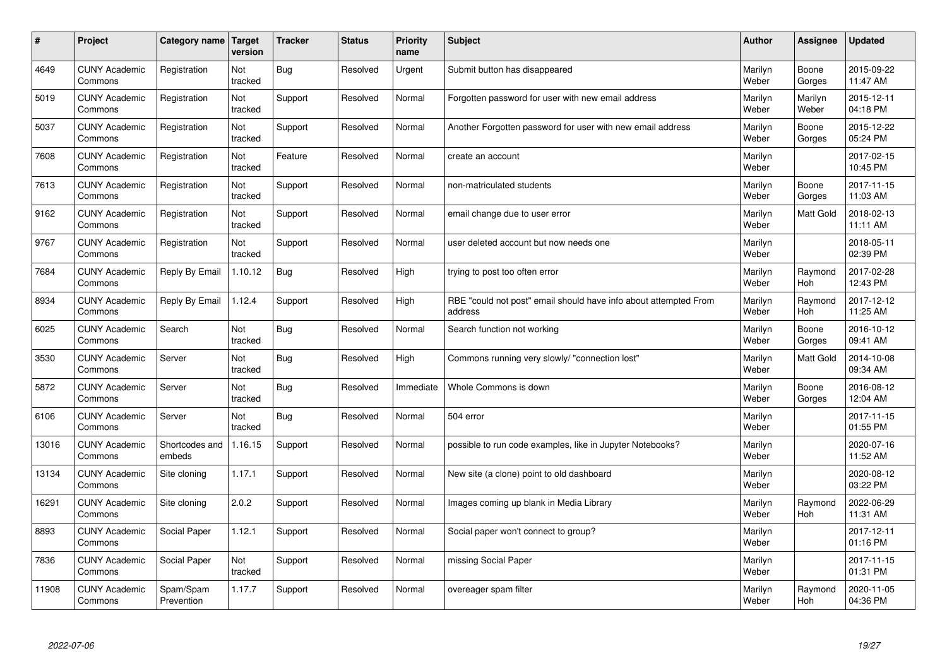| $\vert$ # | Project                         | Category name Target     | version        | <b>Tracker</b> | <b>Status</b> | <b>Priority</b><br>name | <b>Subject</b>                                                              | <b>Author</b>    | <b>Assignee</b>  | <b>Updated</b>         |
|-----------|---------------------------------|--------------------------|----------------|----------------|---------------|-------------------------|-----------------------------------------------------------------------------|------------------|------------------|------------------------|
| 4649      | <b>CUNY Academic</b><br>Commons | Registration             | Not<br>tracked | Bug            | Resolved      | Urgent                  | Submit button has disappeared                                               | Marilyn<br>Weber | Boone<br>Gorges  | 2015-09-22<br>11:47 AM |
| 5019      | <b>CUNY Academic</b><br>Commons | Registration             | Not<br>tracked | Support        | Resolved      | Normal                  | Forgotten password for user with new email address                          | Marilyn<br>Weber | Marilyn<br>Weber | 2015-12-11<br>04:18 PM |
| 5037      | <b>CUNY Academic</b><br>Commons | Registration             | Not<br>tracked | Support        | Resolved      | Normal                  | Another Forgotten password for user with new email address                  | Marilyn<br>Weber | Boone<br>Gorges  | 2015-12-22<br>05:24 PM |
| 7608      | <b>CUNY Academic</b><br>Commons | Registration             | Not<br>tracked | Feature        | Resolved      | Normal                  | create an account                                                           | Marilyn<br>Weber |                  | 2017-02-15<br>10:45 PM |
| 7613      | <b>CUNY Academic</b><br>Commons | Registration             | Not<br>tracked | Support        | Resolved      | Normal                  | non-matriculated students                                                   | Marilyn<br>Weber | Boone<br>Gorges  | 2017-11-15<br>11:03 AM |
| 9162      | <b>CUNY Academic</b><br>Commons | Registration             | Not<br>tracked | Support        | Resolved      | Normal                  | email change due to user error                                              | Marilyn<br>Weber | Matt Gold        | 2018-02-13<br>11:11 AM |
| 9767      | <b>CUNY Academic</b><br>Commons | Registration             | Not<br>tracked | Support        | Resolved      | Normal                  | user deleted account but now needs one                                      | Marilyn<br>Weber |                  | 2018-05-11<br>02:39 PM |
| 7684      | <b>CUNY Academic</b><br>Commons | Reply By Email           | 1.10.12        | Bug            | Resolved      | High                    | trying to post too often error                                              | Marilyn<br>Weber | Raymond<br>Hoh   | 2017-02-28<br>12:43 PM |
| 8934      | <b>CUNY Academic</b><br>Commons | Reply By Email           | 1.12.4         | Support        | Resolved      | High                    | RBE "could not post" email should have info about attempted From<br>address | Marilyn<br>Weber | Raymond<br>Hoh   | 2017-12-12<br>11:25 AM |
| 6025      | <b>CUNY Academic</b><br>Commons | Search                   | Not<br>tracked | <b>Bug</b>     | Resolved      | Normal                  | Search function not working                                                 | Marilyn<br>Weber | Boone<br>Gorges  | 2016-10-12<br>09:41 AM |
| 3530      | <b>CUNY Academic</b><br>Commons | Server                   | Not<br>tracked | <b>Bug</b>     | Resolved      | High                    | Commons running very slowly/ "connection lost"                              | Marilyn<br>Weber | Matt Gold        | 2014-10-08<br>09:34 AM |
| 5872      | <b>CUNY Academic</b><br>Commons | Server                   | Not<br>tracked | <b>Bug</b>     | Resolved      | Immediate               | Whole Commons is down                                                       | Marilyn<br>Weber | Boone<br>Gorges  | 2016-08-12<br>12:04 AM |
| 6106      | <b>CUNY Academic</b><br>Commons | Server                   | Not<br>tracked | <b>Bug</b>     | Resolved      | Normal                  | 504 error                                                                   | Marilyn<br>Weber |                  | 2017-11-15<br>01:55 PM |
| 13016     | <b>CUNY Academic</b><br>Commons | Shortcodes and<br>embeds | 1.16.15        | Support        | Resolved      | Normal                  | possible to run code examples, like in Jupyter Notebooks?                   | Marilyn<br>Weber |                  | 2020-07-16<br>11:52 AM |
| 13134     | <b>CUNY Academic</b><br>Commons | Site cloning             | 1.17.1         | Support        | Resolved      | Normal                  | New site (a clone) point to old dashboard                                   | Marilyn<br>Weber |                  | 2020-08-12<br>03:22 PM |
| 16291     | <b>CUNY Academic</b><br>Commons | Site cloning             | 2.0.2          | Support        | Resolved      | Normal                  | Images coming up blank in Media Library                                     | Marilyn<br>Weber | Raymond<br>Hoh   | 2022-06-29<br>11:31 AM |
| 8893      | <b>CUNY Academic</b><br>Commons | Social Paper             | 1.12.1         | Support        | Resolved      | Normal                  | Social paper won't connect to group?                                        | Marilyn<br>Weber |                  | 2017-12-11<br>01:16 PM |
| 7836      | <b>CUNY Academic</b><br>Commons | Social Paper             | Not<br>tracked | Support        | Resolved      | Normal                  | missing Social Paper                                                        | Marilyn<br>Weber |                  | 2017-11-15<br>01:31 PM |
| 11908     | <b>CUNY Academic</b><br>Commons | Spam/Spam<br>Prevention  | 1.17.7         | Support        | Resolved      | Normal                  | overeager spam filter                                                       | Marilyn<br>Weber | Raymond<br>Hoh   | 2020-11-05<br>04:36 PM |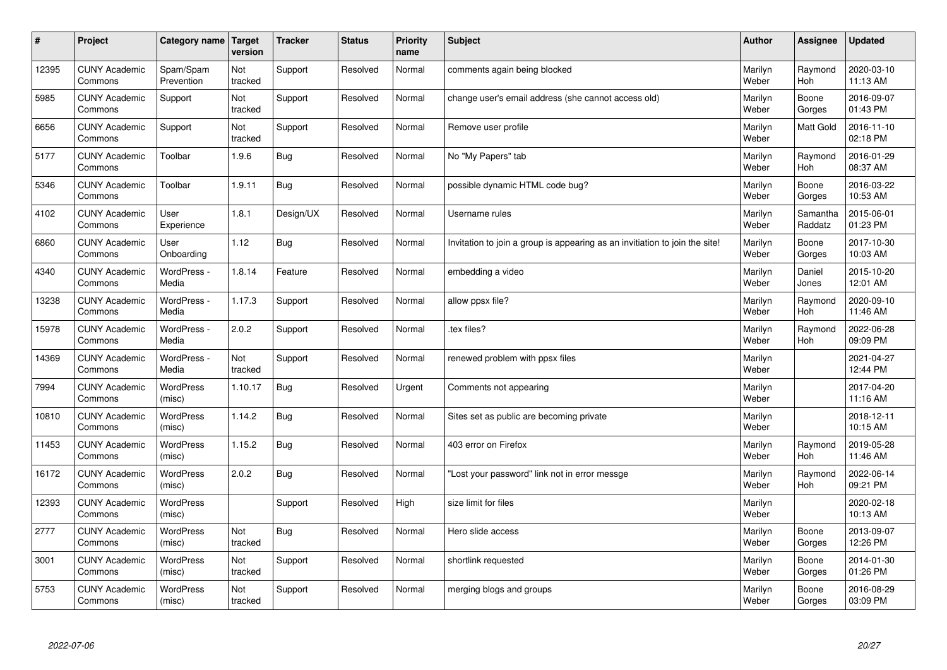| $\pmb{\#}$ | Project                         | Category name              | Target<br>version | <b>Tracker</b> | <b>Status</b> | <b>Priority</b><br>name | <b>Subject</b>                                                              | <b>Author</b>    | Assignee              | <b>Updated</b>         |
|------------|---------------------------------|----------------------------|-------------------|----------------|---------------|-------------------------|-----------------------------------------------------------------------------|------------------|-----------------------|------------------------|
| 12395      | <b>CUNY Academic</b><br>Commons | Spam/Spam<br>Prevention    | Not<br>tracked    | Support        | Resolved      | Normal                  | comments again being blocked                                                | Marilyn<br>Weber | Raymond<br><b>Hoh</b> | 2020-03-10<br>11:13 AM |
| 5985       | <b>CUNY Academic</b><br>Commons | Support                    | Not<br>tracked    | Support        | Resolved      | Normal                  | change user's email address (she cannot access old)                         | Marilyn<br>Weber | Boone<br>Gorges       | 2016-09-07<br>01:43 PM |
| 6656       | <b>CUNY Academic</b><br>Commons | Support                    | Not<br>tracked    | Support        | Resolved      | Normal                  | Remove user profile                                                         | Marilyn<br>Weber | Matt Gold             | 2016-11-10<br>02:18 PM |
| 5177       | <b>CUNY Academic</b><br>Commons | Toolbar                    | 1.9.6             | <b>Bug</b>     | Resolved      | Normal                  | No "My Papers" tab                                                          | Marilyn<br>Weber | Raymond<br>Hoh        | 2016-01-29<br>08:37 AM |
| 5346       | <b>CUNY Academic</b><br>Commons | Toolbar                    | 1.9.11            | <b>Bug</b>     | Resolved      | Normal                  | possible dynamic HTML code bug?                                             | Marilyn<br>Weber | Boone<br>Gorges       | 2016-03-22<br>10:53 AM |
| 4102       | <b>CUNY Academic</b><br>Commons | User<br>Experience         | 1.8.1             | Design/UX      | Resolved      | Normal                  | Username rules                                                              | Marilyn<br>Weber | Samantha<br>Raddatz   | 2015-06-01<br>01:23 PM |
| 6860       | <b>CUNY Academic</b><br>Commons | User<br>Onboarding         | 1.12              | Bug            | Resolved      | Normal                  | Invitation to join a group is appearing as an invitiation to join the site! | Marilyn<br>Weber | Boone<br>Gorges       | 2017-10-30<br>10:03 AM |
| 4340       | <b>CUNY Academic</b><br>Commons | WordPress -<br>Media       | 1.8.14            | Feature        | Resolved      | Normal                  | embedding a video                                                           | Marilyn<br>Weber | Daniel<br>Jones       | 2015-10-20<br>12:01 AM |
| 13238      | <b>CUNY Academic</b><br>Commons | WordPress -<br>Media       | 1.17.3            | Support        | Resolved      | Normal                  | allow ppsx file?                                                            | Marilyn<br>Weber | Raymond<br>Hoh        | 2020-09-10<br>11:46 AM |
| 15978      | <b>CUNY Academic</b><br>Commons | WordPress -<br>Media       | 2.0.2             | Support        | Resolved      | Normal                  | .tex files?                                                                 | Marilyn<br>Weber | Raymond<br><b>Hoh</b> | 2022-06-28<br>09:09 PM |
| 14369      | <b>CUNY Academic</b><br>Commons | WordPress -<br>Media       | Not<br>tracked    | Support        | Resolved      | Normal                  | renewed problem with ppsx files                                             | Marilyn<br>Weber |                       | 2021-04-27<br>12:44 PM |
| 7994       | <b>CUNY Academic</b><br>Commons | WordPress<br>(misc)        | 1.10.17           | Bug            | Resolved      | Urgent                  | Comments not appearing                                                      | Marilyn<br>Weber |                       | 2017-04-20<br>11:16 AM |
| 10810      | <b>CUNY Academic</b><br>Commons | <b>WordPress</b><br>(misc) | 1.14.2            | <b>Bug</b>     | Resolved      | Normal                  | Sites set as public are becoming private                                    | Marilyn<br>Weber |                       | 2018-12-11<br>10:15 AM |
| 11453      | <b>CUNY Academic</b><br>Commons | WordPress<br>(misc)        | 1.15.2            | Bug            | Resolved      | Normal                  | 403 error on Firefox                                                        | Marilyn<br>Weber | Raymond<br>Hoh        | 2019-05-28<br>11:46 AM |
| 16172      | <b>CUNY Academic</b><br>Commons | WordPress<br>(misc)        | 2.0.2             | <b>Bug</b>     | Resolved      | Normal                  | 'Lost your password" link not in error messge                               | Marilyn<br>Weber | Raymond<br>Hoh        | 2022-06-14<br>09:21 PM |
| 12393      | <b>CUNY Academic</b><br>Commons | <b>WordPress</b><br>(misc) |                   | Support        | Resolved      | High                    | size limit for files                                                        | Marilyn<br>Weber |                       | 2020-02-18<br>10:13 AM |
| 2777       | <b>CUNY Academic</b><br>Commons | WordPress<br>(misc)        | Not<br>tracked    | Bug            | Resolved      | Normal                  | Hero slide access                                                           | Marilyn<br>Weber | Boone<br>Gorges       | 2013-09-07<br>12:26 PM |
| 3001       | <b>CUNY Academic</b><br>Commons | WordPress<br>(misc)        | Not<br>tracked    | Support        | Resolved      | Normal                  | shortlink requested                                                         | Marilyn<br>Weber | Boone<br>Gorges       | 2014-01-30<br>01:26 PM |
| 5753       | <b>CUNY Academic</b><br>Commons | <b>WordPress</b><br>(misc) | Not<br>tracked    | Support        | Resolved      | Normal                  | merging blogs and groups                                                    | Marilyn<br>Weber | Boone<br>Gorges       | 2016-08-29<br>03:09 PM |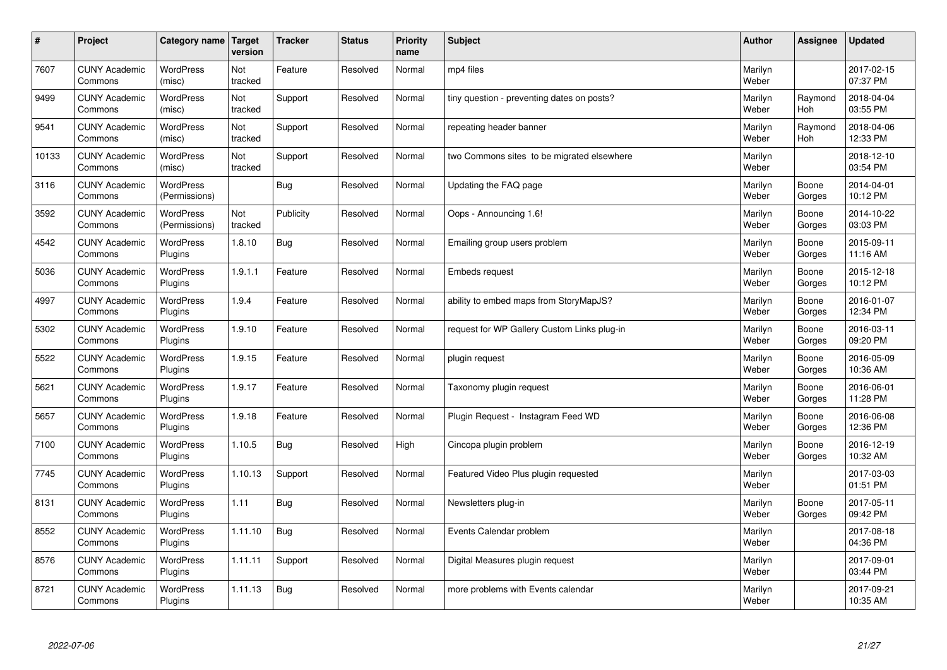| $\sharp$ | Project                         | Category name   Target            | version        | <b>Tracker</b> | <b>Status</b> | <b>Priority</b><br>name | <b>Subject</b>                              | <b>Author</b>    | Assignee              | <b>Updated</b>         |
|----------|---------------------------------|-----------------------------------|----------------|----------------|---------------|-------------------------|---------------------------------------------|------------------|-----------------------|------------------------|
| 7607     | <b>CUNY Academic</b><br>Commons | <b>WordPress</b><br>(misc)        | Not<br>tracked | Feature        | Resolved      | Normal                  | mp4 files                                   | Marilyn<br>Weber |                       | 2017-02-15<br>07:37 PM |
| 9499     | <b>CUNY Academic</b><br>Commons | <b>WordPress</b><br>(misc)        | Not<br>tracked | Support        | Resolved      | Normal                  | tiny question - preventing dates on posts?  | Marilyn<br>Weber | Raymond<br>Hoh        | 2018-04-04<br>03:55 PM |
| 9541     | <b>CUNY Academic</b><br>Commons | <b>WordPress</b><br>(misc)        | Not<br>tracked | Support        | Resolved      | Normal                  | repeating header banner                     | Marilyn<br>Weber | Raymond<br><b>Hoh</b> | 2018-04-06<br>12:33 PM |
| 10133    | <b>CUNY Academic</b><br>Commons | <b>WordPress</b><br>(misc)        | Not<br>tracked | Support        | Resolved      | Normal                  | two Commons sites to be migrated elsewhere  | Marilyn<br>Weber |                       | 2018-12-10<br>03:54 PM |
| 3116     | <b>CUNY Academic</b><br>Commons | <b>WordPress</b><br>(Permissions) |                | Bug            | Resolved      | Normal                  | Updating the FAQ page                       | Marilyn<br>Weber | Boone<br>Gorges       | 2014-04-01<br>10:12 PM |
| 3592     | <b>CUNY Academic</b><br>Commons | WordPress<br>(Permissions)        | Not<br>tracked | Publicity      | Resolved      | Normal                  | Oops - Announcing 1.6!                      | Marilyn<br>Weber | Boone<br>Gorges       | 2014-10-22<br>03:03 PM |
| 4542     | <b>CUNY Academic</b><br>Commons | <b>WordPress</b><br>Plugins       | 1.8.10         | Bug            | Resolved      | Normal                  | Emailing group users problem                | Marilyn<br>Weber | Boone<br>Gorges       | 2015-09-11<br>11:16 AM |
| 5036     | <b>CUNY Academic</b><br>Commons | WordPress<br>Plugins              | 1.9.1.1        | Feature        | Resolved      | Normal                  | <b>Embeds request</b>                       | Marilyn<br>Weber | Boone<br>Gorges       | 2015-12-18<br>10:12 PM |
| 4997     | <b>CUNY Academic</b><br>Commons | WordPress<br>Plugins              | 1.9.4          | Feature        | Resolved      | Normal                  | ability to embed maps from StoryMapJS?      | Marilyn<br>Weber | Boone<br>Gorges       | 2016-01-07<br>12:34 PM |
| 5302     | <b>CUNY Academic</b><br>Commons | <b>WordPress</b><br>Plugins       | 1.9.10         | Feature        | Resolved      | Normal                  | request for WP Gallery Custom Links plug-in | Marilyn<br>Weber | Boone<br>Gorges       | 2016-03-11<br>09:20 PM |
| 5522     | <b>CUNY Academic</b><br>Commons | <b>WordPress</b><br>Plugins       | 1.9.15         | Feature        | Resolved      | Normal                  | plugin request                              | Marilyn<br>Weber | Boone<br>Gorges       | 2016-05-09<br>10:36 AM |
| 5621     | <b>CUNY Academic</b><br>Commons | <b>WordPress</b><br>Plugins       | 1.9.17         | Feature        | Resolved      | Normal                  | Taxonomy plugin request                     | Marilyn<br>Weber | Boone<br>Gorges       | 2016-06-01<br>11:28 PM |
| 5657     | <b>CUNY Academic</b><br>Commons | WordPress<br>Plugins              | 1.9.18         | Feature        | Resolved      | Normal                  | Plugin Request - Instagram Feed WD          | Marilyn<br>Weber | Boone<br>Gorges       | 2016-06-08<br>12:36 PM |
| 7100     | <b>CUNY Academic</b><br>Commons | <b>WordPress</b><br>Plugins       | 1.10.5         | <b>Bug</b>     | Resolved      | High                    | Cincopa plugin problem                      | Marilyn<br>Weber | Boone<br>Gorges       | 2016-12-19<br>10:32 AM |
| 7745     | <b>CUNY Academic</b><br>Commons | WordPress<br>Plugins              | 1.10.13        | Support        | Resolved      | Normal                  | Featured Video Plus plugin requested        | Marilyn<br>Weber |                       | 2017-03-03<br>01:51 PM |
| 8131     | <b>CUNY Academic</b><br>Commons | WordPress<br>Plugins              | 1.11           | Bug            | Resolved      | Normal                  | Newsletters plug-in                         | Marilyn<br>Weber | Boone<br>Gorges       | 2017-05-11<br>09:42 PM |
| 8552     | <b>CUNY Academic</b><br>Commons | <b>WordPress</b><br>Plugins       | 1.11.10        | Bug            | Resolved      | Normal                  | Events Calendar problem                     | Marilyn<br>Weber |                       | 2017-08-18<br>04:36 PM |
| 8576     | <b>CUNY Academic</b><br>Commons | <b>WordPress</b><br>Plugins       | 1.11.11        | Support        | Resolved      | Normal                  | Digital Measures plugin request             | Marilyn<br>Weber |                       | 2017-09-01<br>03:44 PM |
| 8721     | <b>CUNY Academic</b><br>Commons | <b>WordPress</b><br>Plugins       | 1.11.13        | Bug            | Resolved      | Normal                  | more problems with Events calendar          | Marilyn<br>Weber |                       | 2017-09-21<br>10:35 AM |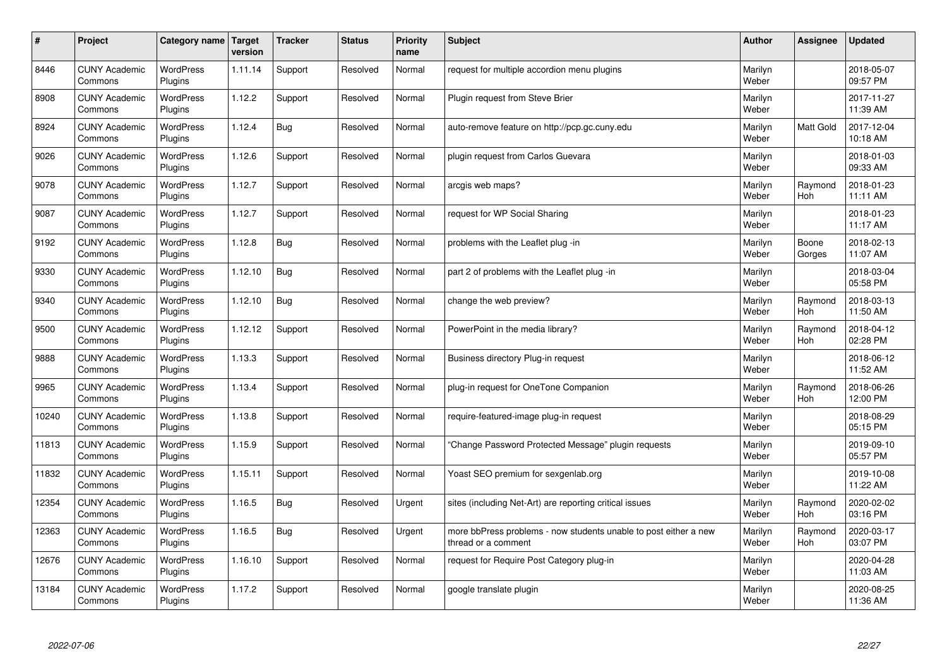| $\sharp$ | Project                         | Category name               | Target<br>version | <b>Tracker</b> | <b>Status</b> | <b>Priority</b><br>name | <b>Subject</b>                                                                          | <b>Author</b>    | Assignee        | <b>Updated</b>         |
|----------|---------------------------------|-----------------------------|-------------------|----------------|---------------|-------------------------|-----------------------------------------------------------------------------------------|------------------|-----------------|------------------------|
| 8446     | <b>CUNY Academic</b><br>Commons | <b>WordPress</b><br>Plugins | 1.11.14           | Support        | Resolved      | Normal                  | request for multiple accordion menu plugins                                             | Marilyn<br>Weber |                 | 2018-05-07<br>09:57 PM |
| 8908     | <b>CUNY Academic</b><br>Commons | <b>WordPress</b><br>Plugins | 1.12.2            | Support        | Resolved      | Normal                  | Plugin request from Steve Brier                                                         | Marilyn<br>Weber |                 | 2017-11-27<br>11:39 AM |
| 8924     | <b>CUNY Academic</b><br>Commons | <b>WordPress</b><br>Plugins | 1.12.4            | <b>Bug</b>     | Resolved      | Normal                  | auto-remove feature on http://pcp.gc.cuny.edu                                           | Marilyn<br>Weber | Matt Gold       | 2017-12-04<br>10:18 AM |
| 9026     | <b>CUNY Academic</b><br>Commons | <b>WordPress</b><br>Plugins | 1.12.6            | Support        | Resolved      | Normal                  | plugin request from Carlos Guevara                                                      | Marilyn<br>Weber |                 | 2018-01-03<br>09:33 AM |
| 9078     | <b>CUNY Academic</b><br>Commons | <b>WordPress</b><br>Plugins | 1.12.7            | Support        | Resolved      | Normal                  | arcgis web maps?                                                                        | Marilyn<br>Weber | Raymond<br>Hoh  | 2018-01-23<br>11:11 AM |
| 9087     | <b>CUNY Academic</b><br>Commons | WordPress<br>Plugins        | 1.12.7            | Support        | Resolved      | Normal                  | request for WP Social Sharing                                                           | Marilyn<br>Weber |                 | 2018-01-23<br>11:17 AM |
| 9192     | <b>CUNY Academic</b><br>Commons | <b>WordPress</b><br>Plugins | 1.12.8            | Bug            | Resolved      | Normal                  | problems with the Leaflet plug -in                                                      | Marilyn<br>Weber | Boone<br>Gorges | 2018-02-13<br>11:07 AM |
| 9330     | <b>CUNY Academic</b><br>Commons | WordPress<br><b>Plugins</b> | 1.12.10           | <b>Bug</b>     | Resolved      | Normal                  | part 2 of problems with the Leaflet plug -in                                            | Marilyn<br>Weber |                 | 2018-03-04<br>05:58 PM |
| 9340     | <b>CUNY Academic</b><br>Commons | <b>WordPress</b><br>Plugins | 1.12.10           | Bug            | Resolved      | Normal                  | change the web preview?                                                                 | Marilyn<br>Weber | Raymond<br>Hoh  | 2018-03-13<br>11:50 AM |
| 9500     | <b>CUNY Academic</b><br>Commons | <b>WordPress</b><br>Plugins | 1.12.12           | Support        | Resolved      | Normal                  | PowerPoint in the media library?                                                        | Marilyn<br>Weber | Raymond<br>Hoh  | 2018-04-12<br>02:28 PM |
| 9888     | <b>CUNY Academic</b><br>Commons | <b>WordPress</b><br>Plugins | 1.13.3            | Support        | Resolved      | Normal                  | Business directory Plug-in request                                                      | Marilyn<br>Weber |                 | 2018-06-12<br>11:52 AM |
| 9965     | <b>CUNY Academic</b><br>Commons | <b>WordPress</b><br>Plugins | 1.13.4            | Support        | Resolved      | Normal                  | plug-in request for OneTone Companion                                                   | Marilyn<br>Weber | Raymond<br>Hoh  | 2018-06-26<br>12:00 PM |
| 10240    | <b>CUNY Academic</b><br>Commons | <b>WordPress</b><br>Plugins | 1.13.8            | Support        | Resolved      | Normal                  | require-featured-image plug-in request                                                  | Marilyn<br>Weber |                 | 2018-08-29<br>05:15 PM |
| 11813    | <b>CUNY Academic</b><br>Commons | <b>WordPress</b><br>Plugins | 1.15.9            | Support        | Resolved      | Normal                  | 'Change Password Protected Message" plugin requests                                     | Marilyn<br>Weber |                 | 2019-09-10<br>05:57 PM |
| 11832    | <b>CUNY Academic</b><br>Commons | WordPress<br>Plugins        | 1.15.11           | Support        | Resolved      | Normal                  | Yoast SEO premium for sexgenlab.org                                                     | Marilyn<br>Weber |                 | 2019-10-08<br>11:22 AM |
| 12354    | <b>CUNY Academic</b><br>Commons | <b>WordPress</b><br>Plugins | 1.16.5            | <b>Bug</b>     | Resolved      | Urgent                  | sites (including Net-Art) are reporting critical issues                                 | Marilyn<br>Weber | Raymond<br>Hoh  | 2020-02-02<br>03:16 PM |
| 12363    | <b>CUNY Academic</b><br>Commons | <b>WordPress</b><br>Plugins | 1.16.5            | Bug            | Resolved      | Urgent                  | more bbPress problems - now students unable to post either a new<br>thread or a comment | Marilyn<br>Weber | Raymond<br>Hoh  | 2020-03-17<br>03:07 PM |
| 12676    | <b>CUNY Academic</b><br>Commons | WordPress<br>Plugins        | 1.16.10           | Support        | Resolved      | Normal                  | request for Require Post Category plug-in                                               | Marilyn<br>Weber |                 | 2020-04-28<br>11:03 AM |
| 13184    | <b>CUNY Academic</b><br>Commons | <b>WordPress</b><br>Plugins | 1.17.2            | Support        | Resolved      | Normal                  | google translate plugin                                                                 | Marilyn<br>Weber |                 | 2020-08-25<br>11:36 AM |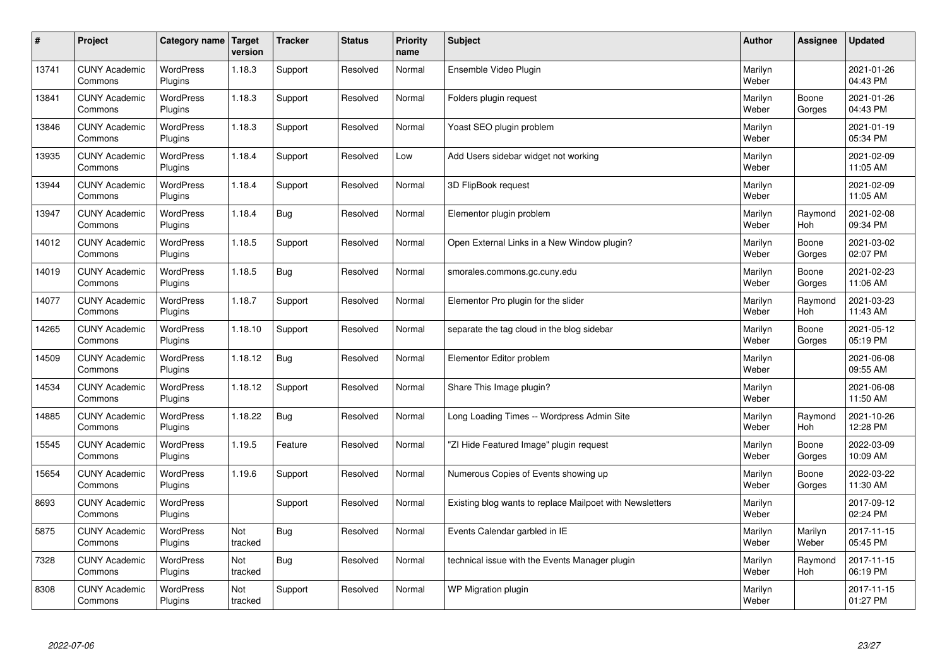| $\sharp$ | Project                         | Category name               | Target<br>version | <b>Tracker</b> | <b>Status</b> | <b>Priority</b><br>name | <b>Subject</b>                                           | <b>Author</b>    | Assignee         | <b>Updated</b>         |
|----------|---------------------------------|-----------------------------|-------------------|----------------|---------------|-------------------------|----------------------------------------------------------|------------------|------------------|------------------------|
| 13741    | <b>CUNY Academic</b><br>Commons | <b>WordPress</b><br>Plugins | 1.18.3            | Support        | Resolved      | Normal                  | Ensemble Video Plugin                                    | Marilyn<br>Weber |                  | 2021-01-26<br>04:43 PM |
| 13841    | <b>CUNY Academic</b><br>Commons | <b>WordPress</b><br>Plugins | 1.18.3            | Support        | Resolved      | Normal                  | Folders plugin request                                   | Marilyn<br>Weber | Boone<br>Gorges  | 2021-01-26<br>04:43 PM |
| 13846    | <b>CUNY Academic</b><br>Commons | <b>WordPress</b><br>Plugins | 1.18.3            | Support        | Resolved      | Normal                  | Yoast SEO plugin problem                                 | Marilyn<br>Weber |                  | 2021-01-19<br>05:34 PM |
| 13935    | <b>CUNY Academic</b><br>Commons | <b>WordPress</b><br>Plugins | 1.18.4            | Support        | Resolved      | Low                     | Add Users sidebar widget not working                     | Marilyn<br>Weber |                  | 2021-02-09<br>11:05 AM |
| 13944    | <b>CUNY Academic</b><br>Commons | <b>WordPress</b><br>Plugins | 1.18.4            | Support        | Resolved      | Normal                  | 3D FlipBook request                                      | Marilyn<br>Weber |                  | 2021-02-09<br>11:05 AM |
| 13947    | <b>CUNY Academic</b><br>Commons | WordPress<br>Plugins        | 1.18.4            | Bug            | Resolved      | Normal                  | Elementor plugin problem                                 | Marilyn<br>Weber | Raymond<br>Hoh   | 2021-02-08<br>09:34 PM |
| 14012    | <b>CUNY Academic</b><br>Commons | WordPress<br>Plugins        | 1.18.5            | Support        | Resolved      | Normal                  | Open External Links in a New Window plugin?              | Marilyn<br>Weber | Boone<br>Gorges  | 2021-03-02<br>02:07 PM |
| 14019    | <b>CUNY Academic</b><br>Commons | <b>WordPress</b><br>Plugins | 1.18.5            | Bug            | Resolved      | Normal                  | smorales.commons.gc.cuny.edu                             | Marilyn<br>Weber | Boone<br>Gorges  | 2021-02-23<br>11:06 AM |
| 14077    | <b>CUNY Academic</b><br>Commons | <b>WordPress</b><br>Plugins | 1.18.7            | Support        | Resolved      | Normal                  | Elementor Pro plugin for the slider                      | Marilyn<br>Weber | Raymond<br>Hoh   | 2021-03-23<br>11:43 AM |
| 14265    | <b>CUNY Academic</b><br>Commons | WordPress<br>Plugins        | 1.18.10           | Support        | Resolved      | Normal                  | separate the tag cloud in the blog sidebar               | Marilyn<br>Weber | Boone<br>Gorges  | 2021-05-12<br>05:19 PM |
| 14509    | <b>CUNY Academic</b><br>Commons | WordPress<br>Plugins        | 1.18.12           | <b>Bug</b>     | Resolved      | Normal                  | Elementor Editor problem                                 | Marilyn<br>Weber |                  | 2021-06-08<br>09:55 AM |
| 14534    | <b>CUNY Academic</b><br>Commons | <b>WordPress</b><br>Plugins | 1.18.12           | Support        | Resolved      | Normal                  | Share This Image plugin?                                 | Marilyn<br>Weber |                  | 2021-06-08<br>11:50 AM |
| 14885    | <b>CUNY Academic</b><br>Commons | <b>WordPress</b><br>Plugins | 1.18.22           | Bug            | Resolved      | Normal                  | Long Loading Times -- Wordpress Admin Site               | Marilyn<br>Weber | Raymond<br>Hoh   | 2021-10-26<br>12:28 PM |
| 15545    | <b>CUNY Academic</b><br>Commons | <b>WordPress</b><br>Plugins | 1.19.5            | Feature        | Resolved      | Normal                  | "ZI Hide Featured Image" plugin request                  | Marilyn<br>Weber | Boone<br>Gorges  | 2022-03-09<br>10:09 AM |
| 15654    | <b>CUNY Academic</b><br>Commons | <b>WordPress</b><br>Plugins | 1.19.6            | Support        | Resolved      | Normal                  | Numerous Copies of Events showing up                     | Marilyn<br>Weber | Boone<br>Gorges  | 2022-03-22<br>11:30 AM |
| 8693     | <b>CUNY Academic</b><br>Commons | <b>WordPress</b><br>Plugins |                   | Support        | Resolved      | Normal                  | Existing blog wants to replace Mailpoet with Newsletters | Marilyn<br>Weber |                  | 2017-09-12<br>02:24 PM |
| 5875     | <b>CUNY Academic</b><br>Commons | WordPress<br>Plugins        | Not<br>tracked    | Bug            | Resolved      | Normal                  | Events Calendar garbled in IE                            | Marilyn<br>Weber | Marilyn<br>Weber | 2017-11-15<br>05:45 PM |
| 7328     | <b>CUNY Academic</b><br>Commons | WordPress<br>Plugins        | Not<br>tracked    | Bug            | Resolved      | Normal                  | technical issue with the Events Manager plugin           | Marilyn<br>Weber | Raymond<br>Hoh   | 2017-11-15<br>06:19 PM |
| 8308     | <b>CUNY Academic</b><br>Commons | <b>WordPress</b><br>Plugins | Not<br>tracked    | Support        | Resolved      | Normal                  | WP Migration plugin                                      | Marilyn<br>Weber |                  | 2017-11-15<br>01:27 PM |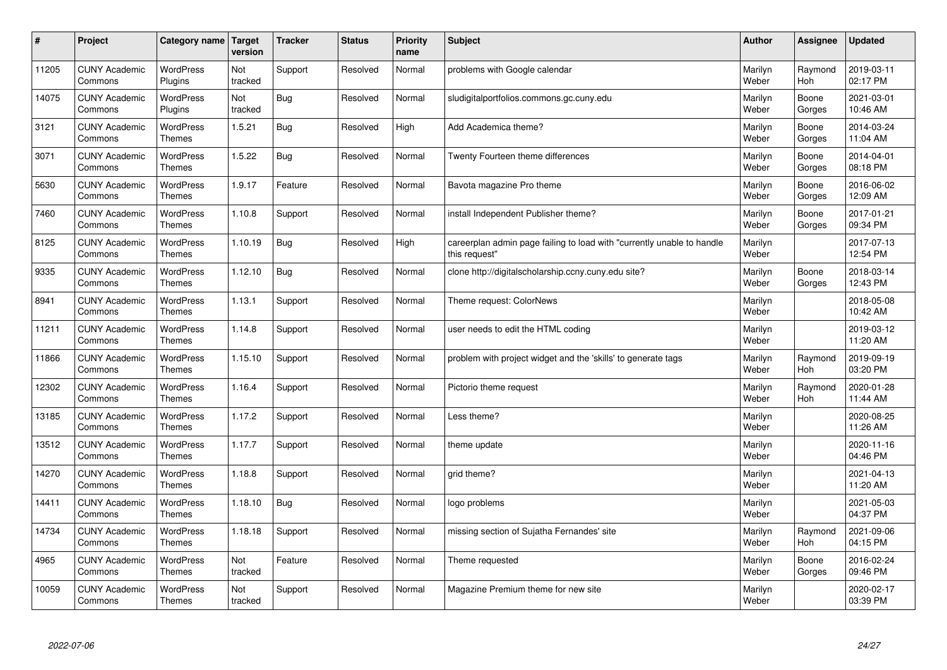| $\pmb{\#}$ | Project                         | Category name                     | Target<br>version | <b>Tracker</b> | <b>Status</b> | <b>Priority</b><br>name | <b>Subject</b>                                                                          | <b>Author</b>    | Assignee        | <b>Updated</b>         |
|------------|---------------------------------|-----------------------------------|-------------------|----------------|---------------|-------------------------|-----------------------------------------------------------------------------------------|------------------|-----------------|------------------------|
| 11205      | <b>CUNY Academic</b><br>Commons | <b>WordPress</b><br>Plugins       | Not<br>tracked    | Support        | Resolved      | Normal                  | problems with Google calendar                                                           | Marilyn<br>Weber | Raymond<br>Hoh  | 2019-03-11<br>02:17 PM |
| 14075      | <b>CUNY Academic</b><br>Commons | <b>WordPress</b><br>Plugins       | Not<br>tracked    | Bug            | Resolved      | Normal                  | sludigitalportfolios.commons.gc.cuny.edu                                                | Marilyn<br>Weber | Boone<br>Gorges | 2021-03-01<br>10:46 AM |
| 3121       | <b>CUNY Academic</b><br>Commons | <b>WordPress</b><br><b>Themes</b> | 1.5.21            | <b>Bug</b>     | Resolved      | High                    | Add Academica theme?                                                                    | Marilyn<br>Weber | Boone<br>Gorges | 2014-03-24<br>11:04 AM |
| 3071       | <b>CUNY Academic</b><br>Commons | <b>WordPress</b><br><b>Themes</b> | 1.5.22            | Bug            | Resolved      | Normal                  | Twenty Fourteen theme differences                                                       | Marilyn<br>Weber | Boone<br>Gorges | 2014-04-01<br>08:18 PM |
| 5630       | <b>CUNY Academic</b><br>Commons | <b>WordPress</b><br><b>Themes</b> | 1.9.17            | Feature        | Resolved      | Normal                  | Bavota magazine Pro theme                                                               | Marilyn<br>Weber | Boone<br>Gorges | 2016-06-02<br>12:09 AM |
| 7460       | <b>CUNY Academic</b><br>Commons | WordPress<br><b>Themes</b>        | 1.10.8            | Support        | Resolved      | Normal                  | install Independent Publisher theme?                                                    | Marilyn<br>Weber | Boone<br>Gorges | 2017-01-21<br>09:34 PM |
| 8125       | <b>CUNY Academic</b><br>Commons | <b>WordPress</b><br><b>Themes</b> | 1.10.19           | <b>Bug</b>     | Resolved      | High                    | careerplan admin page failing to load with "currently unable to handle<br>this request" | Marilyn<br>Weber |                 | 2017-07-13<br>12:54 PM |
| 9335       | <b>CUNY Academic</b><br>Commons | <b>WordPress</b><br><b>Themes</b> | 1.12.10           | <b>Bug</b>     | Resolved      | Normal                  | clone http://digitalscholarship.ccny.cuny.edu site?                                     | Marilyn<br>Weber | Boone<br>Gorges | 2018-03-14<br>12:43 PM |
| 8941       | <b>CUNY Academic</b><br>Commons | <b>WordPress</b><br><b>Themes</b> | 1.13.1            | Support        | Resolved      | Normal                  | Theme request: ColorNews                                                                | Marilyn<br>Weber |                 | 2018-05-08<br>10:42 AM |
| 11211      | <b>CUNY Academic</b><br>Commons | WordPress<br><b>Themes</b>        | 1.14.8            | Support        | Resolved      | Normal                  | user needs to edit the HTML coding                                                      | Marilyn<br>Weber |                 | 2019-03-12<br>11:20 AM |
| 11866      | <b>CUNY Academic</b><br>Commons | WordPress<br><b>Themes</b>        | 1.15.10           | Support        | Resolved      | Normal                  | problem with project widget and the 'skills' to generate tags                           | Marilyn<br>Weber | Raymond<br>Hoh  | 2019-09-19<br>03:20 PM |
| 12302      | <b>CUNY Academic</b><br>Commons | <b>WordPress</b><br><b>Themes</b> | 1.16.4            | Support        | Resolved      | Normal                  | Pictorio theme request                                                                  | Marilyn<br>Weber | Raymond<br>Hoh  | 2020-01-28<br>11:44 AM |
| 13185      | <b>CUNY Academic</b><br>Commons | WordPress<br><b>Themes</b>        | 1.17.2            | Support        | Resolved      | Normal                  | Less theme?                                                                             | Marilyn<br>Weber |                 | 2020-08-25<br>11:26 AM |
| 13512      | <b>CUNY Academic</b><br>Commons | WordPress<br><b>Themes</b>        | 1.17.7            | Support        | Resolved      | Normal                  | theme update                                                                            | Marilyn<br>Weber |                 | 2020-11-16<br>04:46 PM |
| 14270      | <b>CUNY Academic</b><br>Commons | <b>WordPress</b><br><b>Themes</b> | 1.18.8            | Support        | Resolved      | Normal                  | grid theme?                                                                             | Marilyn<br>Weber |                 | 2021-04-13<br>11:20 AM |
| 14411      | <b>CUNY Academic</b><br>Commons | <b>WordPress</b><br><b>Themes</b> | 1.18.10           | <b>Bug</b>     | Resolved      | Normal                  | logo problems                                                                           | Marilyn<br>Weber |                 | 2021-05-03<br>04:37 PM |
| 14734      | <b>CUNY Academic</b><br>Commons | WordPress<br>Themes               | 1.18.18           | Support        | Resolved      | Normal                  | missing section of Sujatha Fernandes' site                                              | Marilyn<br>Weber | Raymond<br>Hoh  | 2021-09-06<br>04:15 PM |
| 4965       | <b>CUNY Academic</b><br>Commons | WordPress<br><b>Themes</b>        | Not<br>tracked    | Feature        | Resolved      | Normal                  | Theme requested                                                                         | Marilyn<br>Weber | Boone<br>Gorges | 2016-02-24<br>09:46 PM |
| 10059      | <b>CUNY Academic</b><br>Commons | <b>WordPress</b><br><b>Themes</b> | Not<br>tracked    | Support        | Resolved      | Normal                  | Magazine Premium theme for new site                                                     | Marilyn<br>Weber |                 | 2020-02-17<br>03:39 PM |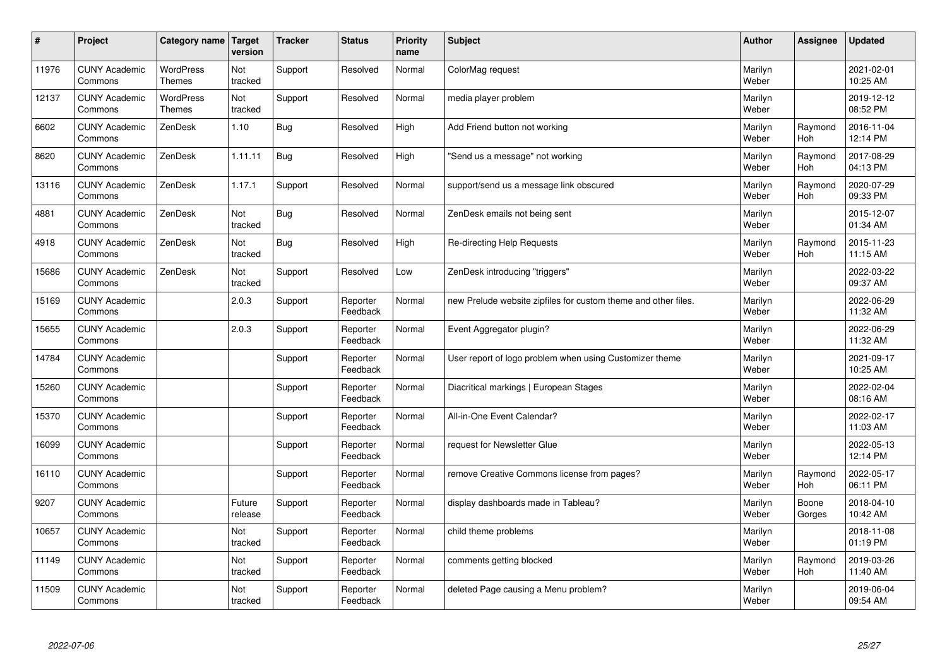| $\sharp$ | Project                         | Category name   Target            | version           | <b>Tracker</b> | <b>Status</b>        | <b>Priority</b><br>name | <b>Subject</b>                                                 | <b>Author</b>    | Assignee        | <b>Updated</b>         |
|----------|---------------------------------|-----------------------------------|-------------------|----------------|----------------------|-------------------------|----------------------------------------------------------------|------------------|-----------------|------------------------|
| 11976    | <b>CUNY Academic</b><br>Commons | <b>WordPress</b><br><b>Themes</b> | Not<br>tracked    | Support        | Resolved             | Normal                  | ColorMag request                                               | Marilyn<br>Weber |                 | 2021-02-01<br>10:25 AM |
| 12137    | <b>CUNY Academic</b><br>Commons | <b>WordPress</b><br><b>Themes</b> | Not<br>tracked    | Support        | Resolved             | Normal                  | media player problem                                           | Marilyn<br>Weber |                 | 2019-12-12<br>08:52 PM |
| 6602     | <b>CUNY Academic</b><br>Commons | ZenDesk                           | 1.10              | <b>Bug</b>     | Resolved             | High                    | Add Friend button not working                                  | Marilyn<br>Weber | Raymond<br>Hoh  | 2016-11-04<br>12:14 PM |
| 8620     | <b>CUNY Academic</b><br>Commons | ZenDesk                           | 1.11.11           | Bug            | Resolved             | High                    | 'Send us a message" not working                                | Marilyn<br>Weber | Raymond<br>Hoh  | 2017-08-29<br>04:13 PM |
| 13116    | <b>CUNY Academic</b><br>Commons | ZenDesk                           | 1.17.1            | Support        | Resolved             | Normal                  | support/send us a message link obscured                        | Marilyn<br>Weber | Raymond<br>Hoh  | 2020-07-29<br>09:33 PM |
| 4881     | <b>CUNY Academic</b><br>Commons | ZenDesk                           | Not<br>tracked    | <b>Bug</b>     | Resolved             | Normal                  | ZenDesk emails not being sent                                  | Marilyn<br>Weber |                 | 2015-12-07<br>01:34 AM |
| 4918     | <b>CUNY Academic</b><br>Commons | ZenDesk                           | Not<br>tracked    | Bug            | Resolved             | High                    | Re-directing Help Requests                                     | Marilyn<br>Weber | Raymond<br>Hoh  | 2015-11-23<br>11:15 AM |
| 15686    | <b>CUNY Academic</b><br>Commons | ZenDesk                           | Not<br>tracked    | Support        | Resolved             | Low                     | ZenDesk introducing "triggers"                                 | Marilyn<br>Weber |                 | 2022-03-22<br>09:37 AM |
| 15169    | <b>CUNY Academic</b><br>Commons |                                   | 2.0.3             | Support        | Reporter<br>Feedback | Normal                  | new Prelude website zipfiles for custom theme and other files. | Marilyn<br>Weber |                 | 2022-06-29<br>11:32 AM |
| 15655    | <b>CUNY Academic</b><br>Commons |                                   | 2.0.3             | Support        | Reporter<br>Feedback | Normal                  | Event Aggregator plugin?                                       | Marilyn<br>Weber |                 | 2022-06-29<br>11:32 AM |
| 14784    | <b>CUNY Academic</b><br>Commons |                                   |                   | Support        | Reporter<br>Feedback | Normal                  | User report of logo problem when using Customizer theme        | Marilyn<br>Weber |                 | 2021-09-17<br>10:25 AM |
| 15260    | <b>CUNY Academic</b><br>Commons |                                   |                   | Support        | Reporter<br>Feedback | Normal                  | Diacritical markings   European Stages                         | Marilyn<br>Weber |                 | 2022-02-04<br>08:16 AM |
| 15370    | <b>CUNY Academic</b><br>Commons |                                   |                   | Support        | Reporter<br>Feedback | Normal                  | All-in-One Event Calendar?                                     | Marilyn<br>Weber |                 | 2022-02-17<br>11:03 AM |
| 16099    | <b>CUNY Academic</b><br>Commons |                                   |                   | Support        | Reporter<br>Feedback | Normal                  | request for Newsletter Glue                                    | Marilyn<br>Weber |                 | 2022-05-13<br>12:14 PM |
| 16110    | <b>CUNY Academic</b><br>Commons |                                   |                   | Support        | Reporter<br>Feedback | Normal                  | remove Creative Commons license from pages?                    | Marilyn<br>Weber | Raymond<br>Hoh  | 2022-05-17<br>06:11 PM |
| 9207     | <b>CUNY Academic</b><br>Commons |                                   | Future<br>release | Support        | Reporter<br>Feedback | Normal                  | display dashboards made in Tableau?                            | Marilyn<br>Weber | Boone<br>Gorges | 2018-04-10<br>10:42 AM |
| 10657    | <b>CUNY Academic</b><br>Commons |                                   | Not<br>tracked    | Support        | Reporter<br>Feedback | Normal                  | child theme problems                                           | Marilyn<br>Weber |                 | 2018-11-08<br>01:19 PM |
| 11149    | <b>CUNY Academic</b><br>Commons |                                   | Not<br>tracked    | Support        | Reporter<br>Feedback | Normal                  | comments getting blocked                                       | Marilyn<br>Weber | Raymond<br>Hoh  | 2019-03-26<br>11:40 AM |
| 11509    | <b>CUNY Academic</b><br>Commons |                                   | Not<br>tracked    | Support        | Reporter<br>Feedback | Normal                  | deleted Page causing a Menu problem?                           | Marilyn<br>Weber |                 | 2019-06-04<br>09:54 AM |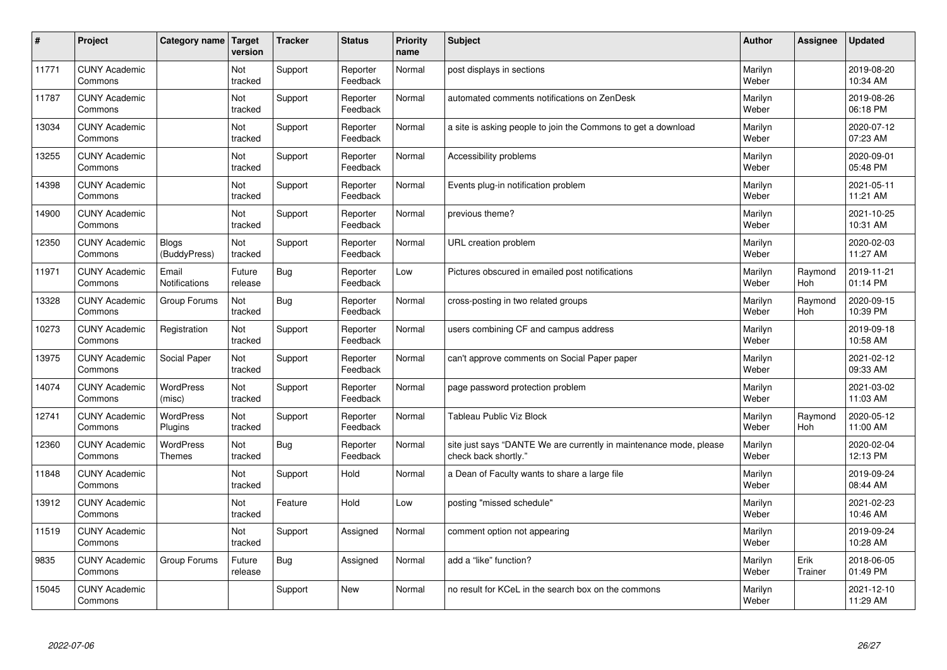| #     | Project                         | Category name              | Target<br>version | <b>Tracker</b> | <b>Status</b>        | <b>Priority</b><br>name | <b>Subject</b>                                                                             | <b>Author</b>    | Assignee        | <b>Updated</b>         |
|-------|---------------------------------|----------------------------|-------------------|----------------|----------------------|-------------------------|--------------------------------------------------------------------------------------------|------------------|-----------------|------------------------|
| 11771 | <b>CUNY Academic</b><br>Commons |                            | Not<br>tracked    | Support        | Reporter<br>Feedback | Normal                  | post displays in sections                                                                  | Marilyn<br>Weber |                 | 2019-08-20<br>10:34 AM |
| 11787 | <b>CUNY Academic</b><br>Commons |                            | Not<br>tracked    | Support        | Reporter<br>Feedback | Normal                  | automated comments notifications on ZenDesk                                                | Marilyn<br>Weber |                 | 2019-08-26<br>06:18 PM |
| 13034 | <b>CUNY Academic</b><br>Commons |                            | Not<br>tracked    | Support        | Reporter<br>Feedback | Normal                  | a site is asking people to join the Commons to get a download                              | Marilyn<br>Weber |                 | 2020-07-12<br>07:23 AM |
| 13255 | <b>CUNY Academic</b><br>Commons |                            | Not<br>tracked    | Support        | Reporter<br>Feedback | Normal                  | Accessibility problems                                                                     | Marilyn<br>Weber |                 | 2020-09-01<br>05:48 PM |
| 14398 | <b>CUNY Academic</b><br>Commons |                            | Not<br>tracked    | Support        | Reporter<br>Feedback | Normal                  | Events plug-in notification problem                                                        | Marilyn<br>Weber |                 | 2021-05-11<br>11:21 AM |
| 14900 | <b>CUNY Academic</b><br>Commons |                            | Not<br>tracked    | Support        | Reporter<br>Feedback | Normal                  | previous theme?                                                                            | Marilyn<br>Weber |                 | 2021-10-25<br>10:31 AM |
| 12350 | <b>CUNY Academic</b><br>Commons | Blogs<br>(BuddyPress)      | Not<br>tracked    | Support        | Reporter<br>Feedback | Normal                  | URL creation problem                                                                       | Marilyn<br>Weber |                 | 2020-02-03<br>11:27 AM |
| 11971 | <b>CUNY Academic</b><br>Commons | Email<br>Notifications     | Future<br>release | <b>Bug</b>     | Reporter<br>Feedback | Low                     | Pictures obscured in emailed post notifications                                            | Marilyn<br>Weber | Raymond<br>Hoh  | 2019-11-21<br>01:14 PM |
| 13328 | <b>CUNY Academic</b><br>Commons | Group Forums               | Not<br>tracked    | Bug            | Reporter<br>Feedback | Normal                  | cross-posting in two related groups                                                        | Marilyn<br>Weber | Raymond<br>Hoh  | 2020-09-15<br>10:39 PM |
| 10273 | <b>CUNY Academic</b><br>Commons | Registration               | Not<br>tracked    | Support        | Reporter<br>Feedback | Normal                  | users combining CF and campus address                                                      | Marilyn<br>Weber |                 | 2019-09-18<br>10:58 AM |
| 13975 | <b>CUNY Academic</b><br>Commons | Social Paper               | Not<br>tracked    | Support        | Reporter<br>Feedback | Normal                  | can't approve comments on Social Paper paper                                               | Marilyn<br>Weber |                 | 2021-02-12<br>09:33 AM |
| 14074 | <b>CUNY Academic</b><br>Commons | <b>WordPress</b><br>(misc) | Not<br>tracked    | Support        | Reporter<br>Feedback | Normal                  | page password protection problem                                                           | Marilyn<br>Weber |                 | 2021-03-02<br>11:03 AM |
| 12741 | <b>CUNY Academic</b><br>Commons | WordPress<br>Plugins       | Not<br>tracked    | Support        | Reporter<br>Feedback | Normal                  | <b>Tableau Public Viz Block</b>                                                            | Marilyn<br>Weber | Raymond<br>Hoh  | 2020-05-12<br>11:00 AM |
| 12360 | <b>CUNY Academic</b><br>Commons | WordPress<br><b>Themes</b> | Not<br>tracked    | Bug            | Reporter<br>Feedback | Normal                  | site just says "DANTE We are currently in maintenance mode, please<br>check back shortly." | Marilyn<br>Weber |                 | 2020-02-04<br>12:13 PM |
| 11848 | <b>CUNY Academic</b><br>Commons |                            | Not<br>tracked    | Support        | Hold                 | Normal                  | a Dean of Faculty wants to share a large file                                              | Marilyn<br>Weber |                 | 2019-09-24<br>08:44 AM |
| 13912 | <b>CUNY Academic</b><br>Commons |                            | Not<br>tracked    | Feature        | Hold                 | Low                     | posting "missed schedule"                                                                  | Marilyn<br>Weber |                 | 2021-02-23<br>10:46 AM |
| 11519 | <b>CUNY Academic</b><br>Commons |                            | Not<br>tracked    | Support        | Assigned             | Normal                  | comment option not appearing                                                               | Marilyn<br>Weber |                 | 2019-09-24<br>10:28 AM |
| 9835  | <b>CUNY Academic</b><br>Commons | Group Forums               | Future<br>release | Bug            | Assigned             | Normal                  | add a "like" function?                                                                     | Marilyn<br>Weber | Erik<br>Trainer | 2018-06-05<br>01:49 PM |
| 15045 | <b>CUNY Academic</b><br>Commons |                            |                   | Support        | <b>New</b>           | Normal                  | no result for KCeL in the search box on the commons                                        | Marilyn<br>Weber |                 | 2021-12-10<br>11:29 AM |